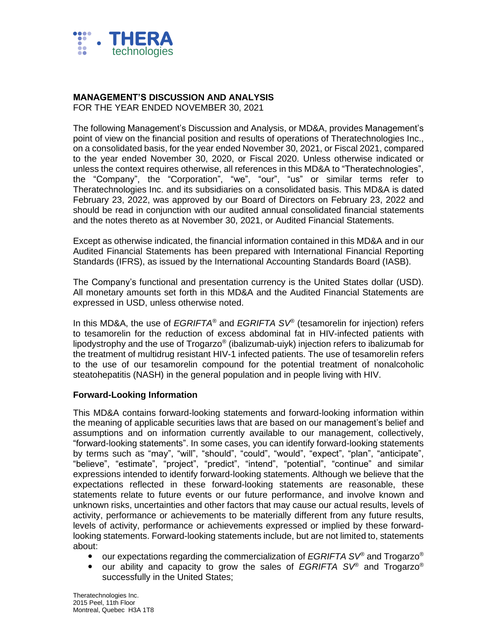

# **MANAGEMENT'S DISCUSSION AND ANALYSIS**

FOR THE YEAR ENDED NOVEMBER 30, 2021

The following Management's Discussion and Analysis, or MD&A, provides Management's point of view on the financial position and results of operations of Theratechnologies Inc., on a consolidated basis, for the year ended November 30, 2021, or Fiscal 2021, compared to the year ended November 30, 2020, or Fiscal 2020. Unless otherwise indicated or unless the context requires otherwise, all references in this MD&A to "Theratechnologies", the "Company", the "Corporation", "we", "our", "us" or similar terms refer to Theratechnologies Inc. and its subsidiaries on a consolidated basis. This MD&A is dated February 23, 2022, was approved by our Board of Directors on February 23, 2022 and should be read in conjunction with our audited annual consolidated financial statements and the notes thereto as at November 30, 2021, or Audited Financial Statements.

Except as otherwise indicated, the financial information contained in this MD&A and in our Audited Financial Statements has been prepared with International Financial Reporting Standards (IFRS), as issued by the International Accounting Standards Board (IASB).

The Company's functional and presentation currency is the United States dollar (USD). All monetary amounts set forth in this MD&A and the Audited Financial Statements are expressed in USD, unless otherwise noted.

In this MD&A, the use of *EGRIFTA*® and *EGRIFTA SV*® (tesamorelin for injection) refers to tesamorelin for the reduction of excess abdominal fat in HIV-infected patients with lipodystrophy and the use of Trogarzo® (ibalizumab-uiyk) injection refers to ibalizumab for the treatment of multidrug resistant HIV-1 infected patients. The use of tesamorelin refers to the use of our tesamorelin compound for the potential treatment of nonalcoholic steatohepatitis (NASH) in the general population and in people living with HIV.

# **Forward-Looking Information**

This MD&A contains forward-looking statements and forward-looking information within the meaning of applicable securities laws that are based on our management's belief and assumptions and on information currently available to our management, collectively, "forward-looking statements". In some cases, you can identify forward-looking statements by terms such as "may", "will", "should", "could", "would", "expect", "plan", "anticipate", "believe", "estimate", "project", "predict", "intend", "potential", "continue" and similar expressions intended to identify forward-looking statements. Although we believe that the expectations reflected in these forward-looking statements are reasonable, these statements relate to future events or our future performance, and involve known and unknown risks, uncertainties and other factors that may cause our actual results, levels of activity, performance or achievements to be materially different from any future results, levels of activity, performance or achievements expressed or implied by these forwardlooking statements. Forward-looking statements include, but are not limited to, statements about:

- our expectations regarding the commercialization of *EGRIFTA SV*<sup>®</sup> and Trogarzo<sup>®</sup>
- our ability and capacity to grow the sales of *EGRIFTA SV*<sup>®</sup> and Trogarzo<sup>®</sup> successfully in the United States;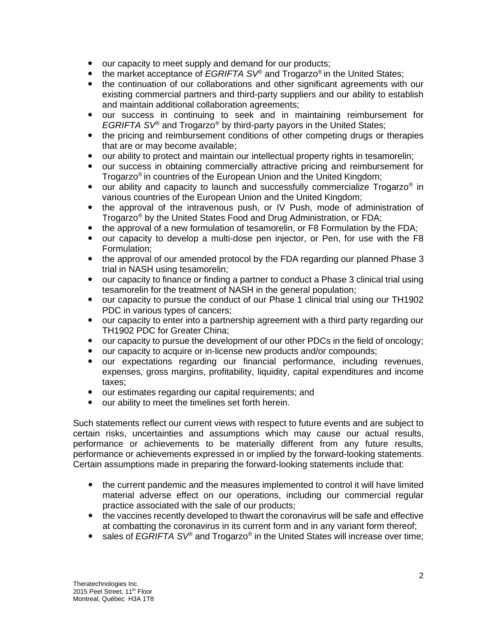- our capacity to meet supply and demand for our products;
- the market acceptance of *EGRIFTA SV*® and Trogarzo® in the United States;
- the continuation of our collaborations and other significant agreements with our existing commercial partners and third-party suppliers and our ability to establish and maintain additional collaboration agreements;
- our success in continuing to seek and in maintaining reimbursement for *EGRIFTA SV*® and Trogarzo® by third-party payors in the United States;
- the pricing and reimbursement conditions of other competing drugs or therapies that are or may become available;
- our ability to protect and maintain our intellectual property rights in tesamorelin;
- our success in obtaining commercially attractive pricing and reimbursement for Trogarzo® in countries of the European Union and the United Kingdom;
- our ability and capacity to launch and successfully commercialize Trogarzo<sup>®</sup> in various countries of the European Union and the United Kingdom;
- the approval of the intravenous push, or IV Push, mode of administration of Trogarzo® by the United States Food and Drug Administration, or FDA;
- the approval of a new formulation of tesamorelin, or F8 Formulation by the FDA;
- our capacity to develop a multi-dose pen injector, or Pen, for use with the F8 Formulation;
- the approval of our amended protocol by the FDA regarding our planned Phase 3 trial in NASH using tesamorelin;
- our capacity to finance or finding a partner to conduct a Phase 3 clinical trial using tesamorelin for the treatment of NASH in the general population;
- our capacity to pursue the conduct of our Phase 1 clinical trial using our TH1902 PDC in various types of cancers;
- our capacity to enter into a partnership agreement with a third party regarding our TH1902 PDC for Greater China;
- our capacity to pursue the development of our other PDCs in the field of oncology;
- our capacity to acquire or in-license new products and/or compounds;
- our expectations regarding our financial performance, including revenues, expenses, gross margins, profitability, liquidity, capital expenditures and income taxes;
- our estimates regarding our capital requirements; and
- our ability to meet the timelines set forth herein.

Such statements reflect our current views with respect to future events and are subject to certain risks, uncertainties and assumptions which may cause our actual results, performance or achievements to be materially different from any future results, performance or achievements expressed in or implied by the forward-looking statements. Certain assumptions made in preparing the forward-looking statements include that:

- the current pandemic and the measures implemented to control it will have limited material adverse effect on our operations, including our commercial regular practice associated with the sale of our products;
- the vaccines recently developed to thwart the coronavirus will be safe and effective at combatting the coronavirus in its current form and in any variant form thereof;
- sales of *EGRIFTA SV*<sup>®</sup> and Trogarzo<sup>®</sup> in the United States will increase over time;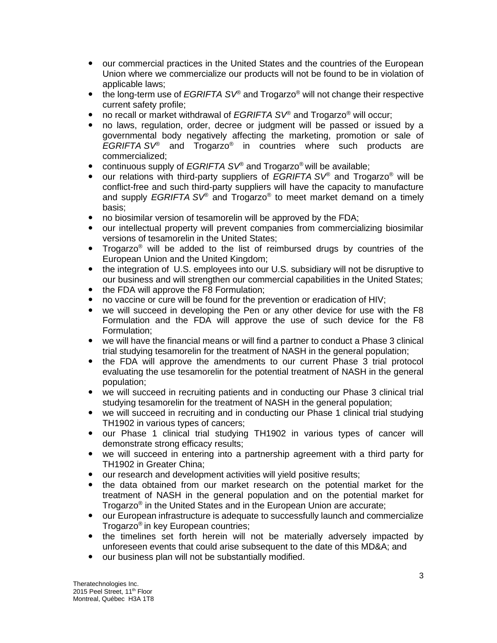- our commercial practices in the United States and the countries of the European Union where we commercialize our products will not be found to be in violation of applicable laws;
- the long-term use of *EGRIFTA SV*® and Trogarzo® will not change their respective current safety profile;
- no recall or market withdrawal of *EGRIFTA SV*® and Trogarzo® will occur;
- no laws, regulation, order, decree or judgment will be passed or issued by a governmental body negatively affecting the marketing, promotion or sale of *EGRIFTA SV*® and Trogarzo® in countries where such products are commercialized;
- continuous supply of *EGRIFTA SV*® and Trogarzo® will be available;
- our relations with third-party suppliers of *EGRIFTA* SV<sup>®</sup> and Trogarzo<sup>®</sup> will be conflict-free and such third-party suppliers will have the capacity to manufacture and supply *EGRIFTA SV*® and Trogarzo® to meet market demand on a timely basis;
- no biosimilar version of tesamorelin will be approved by the FDA;
- our intellectual property will prevent companies from commercializing biosimilar versions of tesamorelin in the United States;
- Trogarzo<sup>®</sup> will be added to the list of reimbursed drugs by countries of the European Union and the United Kingdom;
- the integration of U.S. employees into our U.S. subsidiary will not be disruptive to our business and will strengthen our commercial capabilities in the United States;
- the FDA will approve the F8 Formulation;
- no vaccine or cure will be found for the prevention or eradication of HIV;
- we will succeed in developing the Pen or any other device for use with the F8 Formulation and the FDA will approve the use of such device for the F8 Formulation;
- we will have the financial means or will find a partner to conduct a Phase 3 clinical trial studying tesamorelin for the treatment of NASH in the general population;
- the FDA will approve the amendments to our current Phase 3 trial protocol evaluating the use tesamorelin for the potential treatment of NASH in the general population;
- we will succeed in recruiting patients and in conducting our Phase 3 clinical trial studying tesamorelin for the treatment of NASH in the general population;
- we will succeed in recruiting and in conducting our Phase 1 clinical trial studying TH1902 in various types of cancers;
- our Phase 1 clinical trial studying TH1902 in various types of cancer will demonstrate strong efficacy results;
- we will succeed in entering into a partnership agreement with a third party for TH1902 in Greater China;
- our research and development activities will yield positive results;
- the data obtained from our market research on the potential market for the treatment of NASH in the general population and on the potential market for Trogarzo® in the United States and in the European Union are accurate;
- our European infrastructure is adequate to successfully launch and commercialize Trogarzo® in key European countries;
- the timelines set forth herein will not be materially adversely impacted by unforeseen events that could arise subsequent to the date of this MD&A; and
- our business plan will not be substantially modified.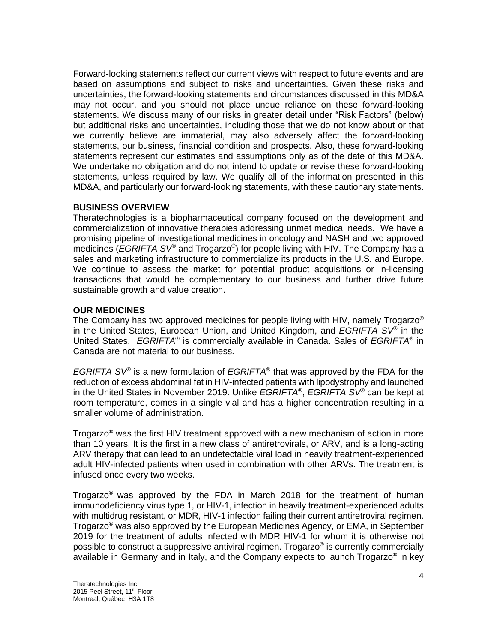Forward-looking statements reflect our current views with respect to future events and are based on assumptions and subject to risks and uncertainties. Given these risks and uncertainties, the forward-looking statements and circumstances discussed in this MD&A may not occur, and you should not place undue reliance on these forward-looking statements. We discuss many of our risks in greater detail under "Risk Factors" (below) but additional risks and uncertainties, including those that we do not know about or that we currently believe are immaterial, may also adversely affect the forward-looking statements, our business, financial condition and prospects. Also, these forward-looking statements represent our estimates and assumptions only as of the date of this MD&A. We undertake no obligation and do not intend to update or revise these forward-looking statements, unless required by law. We qualify all of the information presented in this MD&A, and particularly our forward-looking statements, with these cautionary statements.

### **BUSINESS OVERVIEW**

Theratechnologies is a biopharmaceutical company focused on the development and commercialization of innovative therapies addressing unmet medical needs. We have a promising pipeline of investigational medicines in oncology and NASH and two approved medicines (*EGRIFTA SV®* and Trogarzo*®* ) for people living with HIV. The Company has a sales and marketing infrastructure to commercialize its products in the U.S. and Europe. We continue to assess the market for potential product acquisitions or in-licensing transactions that would be complementary to our business and further drive future sustainable growth and value creation.

### **OUR MEDICINES**

The Company has two approved medicines for people living with HIV, namely Trogarzo<sup>®</sup> in the United States, European Union, and United Kingdom, and *EGRIFTA SV®* in the United States. *EGRIFTA®* is commercially available in Canada. Sales of *EGRIFTA®* in Canada are not material to our business.

*EGRIFTA SV®* is a new formulation of *EGRIFTA®* that was approved by the FDA for the reduction of excess abdominal fat in HIV-infected patients with lipodystrophy and launched in the United States in November 2019. Unlike *EGRIFTA*® , *EGRIFTA SV*® can be kept at room temperature, comes in a single vial and has a higher concentration resulting in a smaller volume of administration.

Trogarzo® was the first HIV treatment approved with a new mechanism of action in more than 10 years. It is the first in a new class of antiretrovirals, or ARV, and is a long-acting ARV therapy that can lead to an undetectable viral load in heavily treatment-experienced adult HIV-infected patients when used in combination with other ARVs. The treatment is infused once every two weeks.

Trogarzo<sup>®</sup> was approved by the FDA in March 2018 for the treatment of human immunodeficiency virus type 1, or HIV-1, infection in heavily treatment-experienced adults with multidrug resistant, or MDR, HIV-1 infection failing their current antiretroviral regimen. Trogarzo® was also approved by the European Medicines Agency, or EMA, in September 2019 for the treatment of adults infected with MDR HIV-1 for whom it is otherwise not possible to construct a suppressive antiviral regimen. Trogarzo® is currently commercially available in Germany and in Italy, and the Company expects to launch Trogarzo® in key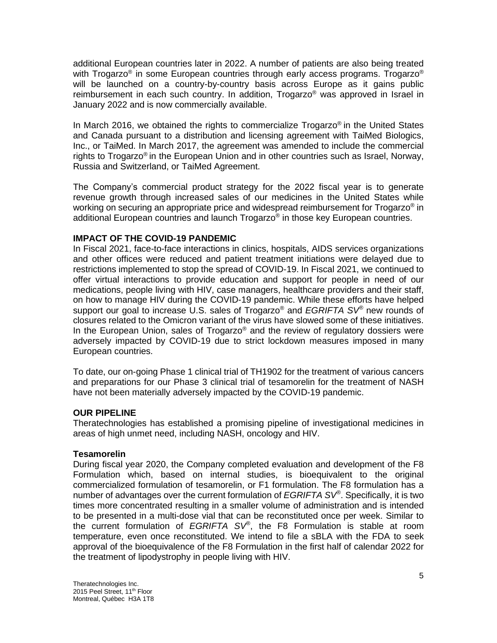additional European countries later in 2022. A number of patients are also being treated with Trogarzo® in some European countries through early access programs. Trogarzo® will be launched on a country-by-country basis across Europe as it gains public reimbursement in each such country. In addition, Trogarzo® was approved in Israel in January 2022 and is now commercially available.

In March 2016, we obtained the rights to commercialize Trogarzo® in the United States and Canada pursuant to a distribution and licensing agreement with TaiMed Biologics, Inc., or TaiMed. In March 2017, the agreement was amended to include the commercial rights to Trogarzo® in the European Union and in other countries such as Israel, Norway, Russia and Switzerland, or TaiMed Agreement.

The Company's commercial product strategy for the 2022 fiscal year is to generate revenue growth through increased sales of our medicines in the United States while working on securing an appropriate price and widespread reimbursement for  $\sf{T}$ rogarzo $^\circledast$  in additional European countries and launch Trogarzo® in those key European countries.

# **IMPACT OF THE COVID-19 PANDEMIC**

In Fiscal 2021, face-to-face interactions in clinics, hospitals, AIDS services organizations and other offices were reduced and patient treatment initiations were delayed due to restrictions implemented to stop the spread of COVID-19. In Fiscal 2021, we continued to offer virtual interactions to provide education and support for people in need of our medications, people living with HIV, case managers, healthcare providers and their staff, on how to manage HIV during the COVID-19 pandemic. While these efforts have helped support our goal to increase U.S. sales of Trogarzo® and *EGRIFTA SV®* new rounds of closures related to the Omicron variant of the virus have slowed some of these initiatives. In the European Union, sales of Trogarzo<sup>®</sup> and the review of regulatory dossiers were adversely impacted by COVID-19 due to strict lockdown measures imposed in many European countries.

To date, our on-going Phase 1 clinical trial of TH1902 for the treatment of various cancers and preparations for our Phase 3 clinical trial of tesamorelin for the treatment of NASH have not been materially adversely impacted by the COVID-19 pandemic.

#### **OUR PIPELINE**

Theratechnologies has established a promising pipeline of investigational medicines in areas of high unmet need, including NASH, oncology and HIV.

# **Tesamorelin**

During fiscal year 2020, the Company completed evaluation and development of the F8 Formulation which, based on internal studies, is bioequivalent to the original commercialized formulation of tesamorelin, or F1 formulation. The F8 formulation has a number of advantages over the current formulation of *EGRIFTA SV®* . Specifically, it is two times more concentrated resulting in a smaller volume of administration and is intended to be presented in a multi-dose vial that can be reconstituted once per week. Similar to the current formulation of *EGRIFTA SV®* , the F8 Formulation is stable at room temperature, even once reconstituted. We intend to file a sBLA with the FDA to seek approval of the bioequivalence of the F8 Formulation in the first half of calendar 2022 for the treatment of lipodystrophy in people living with HIV.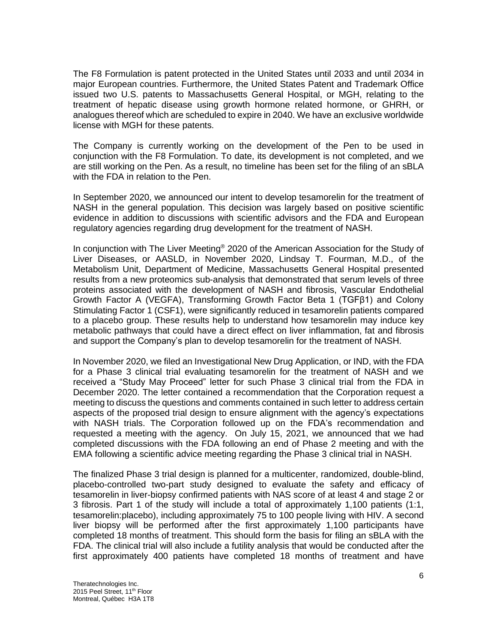The F8 Formulation is patent protected in the United States until 2033 and until 2034 in major European countries. Furthermore, the United States Patent and Trademark Office issued two U.S. patents to Massachusetts General Hospital, or MGH, relating to the treatment of hepatic disease using growth hormone related hormone, or GHRH, or analogues thereof which are scheduled to expire in 2040. We have an exclusive worldwide license with MGH for these patents.

The Company is currently working on the development of the Pen to be used in conjunction with the F8 Formulation. To date, its development is not completed, and we are still working on the Pen. As a result, no timeline has been set for the filing of an sBLA with the FDA in relation to the Pen.

In September 2020, we announced our intent to develop tesamorelin for the treatment of NASH in the general population. This decision was largely based on positive scientific evidence in addition to discussions with scientific advisors and the FDA and European regulatory agencies regarding drug development for the treatment of NASH.

In conjunction with The Liver Meeting<sup>®</sup> 2020 of the American Association for the Study of Liver Diseases, or AASLD, in November 2020, Lindsay T. Fourman, M.D., of the Metabolism Unit, Department of Medicine, Massachusetts General Hospital presented results from a new proteomics sub-analysis that demonstrated that serum levels of three proteins associated with the development of NASH and fibrosis, Vascular Endothelial Growth Factor A (VEGFA), Transforming Growth Factor Beta 1 (TGFβ1) and Colony Stimulating Factor 1 (CSF1), were significantly reduced in tesamorelin patients compared to a placebo group. These results help to understand how tesamorelin may induce key metabolic pathways that could have a direct effect on liver inflammation, fat and fibrosis and support the Company's plan to develop tesamorelin for the treatment of NASH.

In November 2020, we filed an Investigational New Drug Application, or IND, with the FDA for a Phase 3 clinical trial evaluating tesamorelin for the treatment of NASH and we received a "Study May Proceed" letter for such Phase 3 clinical trial from the FDA in December 2020. The letter contained a recommendation that the Corporation request a meeting to discuss the questions and comments contained in such letter to address certain aspects of the proposed trial design to ensure alignment with the agency's expectations with NASH trials. The Corporation followed up on the FDA's recommendation and requested a meeting with the agency. On July 15, 2021, we announced that we had completed discussions with the FDA following an end of Phase 2 meeting and with the EMA following a scientific advice meeting regarding the Phase 3 clinical trial in NASH.

The finalized Phase 3 trial design is planned for a multicenter, randomized, double-blind, placebo-controlled two-part study designed to evaluate the safety and efficacy of tesamorelin in liver-biopsy confirmed patients with NAS score of at least 4 and stage 2 or 3 fibrosis. Part 1 of the study will include a total of approximately 1,100 patients (1:1, tesamorelin:placebo), including approximately 75 to 100 people living with HIV. A second liver biopsy will be performed after the first approximately 1,100 participants have completed 18 months of treatment. This should form the basis for filing an sBLA with the FDA. The clinical trial will also include a futility analysis that would be conducted after the first approximately 400 patients have completed 18 months of treatment and have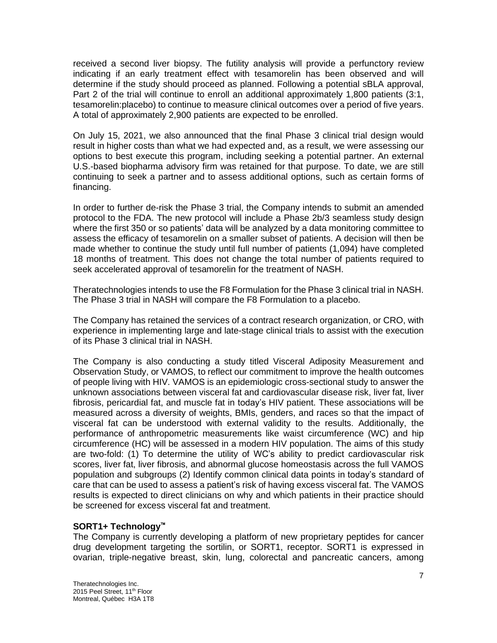received a second liver biopsy. The futility analysis will provide a perfunctory review indicating if an early treatment effect with tesamorelin has been observed and will determine if the study should proceed as planned. Following a potential sBLA approval, Part 2 of the trial will continue to enroll an additional approximately 1,800 patients (3:1, tesamorelin:placebo) to continue to measure clinical outcomes over a period of five years. A total of approximately 2,900 patients are expected to be enrolled.

On July 15, 2021, we also announced that the final Phase 3 clinical trial design would result in higher costs than what we had expected and, as a result, we were assessing our options to best execute this program, including seeking a potential partner. An external U.S.-based biopharma advisory firm was retained for that purpose. To date, we are still continuing to seek a partner and to assess additional options, such as certain forms of financing.

In order to further de-risk the Phase 3 trial, the Company intends to submit an amended protocol to the FDA. The new protocol will include a Phase 2b/3 seamless study design where the first 350 or so patients' data will be analyzed by a data monitoring committee to assess the efficacy of tesamorelin on a smaller subset of patients. A decision will then be made whether to continue the study until full number of patients (1,094) have completed 18 months of treatment. This does not change the total number of patients required to seek accelerated approval of tesamorelin for the treatment of NASH.

Theratechnologies intends to use the F8 Formulation for the Phase 3 clinical trial in NASH. The Phase 3 trial in NASH will compare the F8 Formulation to a placebo.

The Company has retained the services of a contract research organization, or CRO, with experience in implementing large and late-stage clinical trials to assist with the execution of its Phase 3 clinical trial in NASH.

The Company is also conducting a study titled Visceral Adiposity Measurement and Observation Study, or VAMOS, to reflect our commitment to improve the health outcomes of people living with HIV. VAMOS is an epidemiologic cross-sectional study to answer the unknown associations between visceral fat and cardiovascular disease risk, liver fat, liver fibrosis, pericardial fat, and muscle fat in today's HIV patient. These associations will be measured across a diversity of weights, BMIs, genders, and races so that the impact of visceral fat can be understood with external validity to the results. Additionally, the performance of anthropometric measurements like waist circumference (WC) and hip circumference (HC) will be assessed in a modern HIV population. The aims of this study are two-fold: (1) To determine the utility of WC's ability to predict cardiovascular risk scores, liver fat, liver fibrosis, and abnormal glucose homeostasis across the full VAMOS population and subgroups (2) Identify common clinical data points in today's standard of care that can be used to assess a patient's risk of having excess visceral fat. The VAMOS results is expected to direct clinicians on why and which patients in their practice should be screened for excess visceral fat and treatment.

# **SORT1+ Technology**

The Company is currently developing a platform of new proprietary peptides for cancer drug development targeting the sortilin, or SORT1, receptor. SORT1 is expressed in ovarian, triple-negative breast, skin, lung, colorectal and pancreatic cancers, among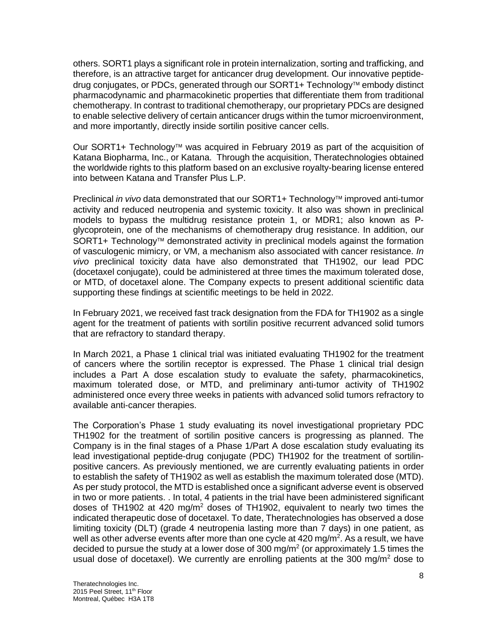others. SORT1 plays a significant role in protein internalization, sorting and trafficking, and therefore, is an attractive target for anticancer drug development. Our innovative peptidedrug conjugates, or PDCs, generated through our SORT1+ Technology™ embody distinct pharmacodynamic and pharmacokinetic properties that differentiate them from traditional chemotherapy. In contrast to traditional chemotherapy, our proprietary PDCs are designed to enable selective delivery of certain anticancer drugs within the tumor microenvironment, and more importantly, directly inside sortilin positive cancer cells.

Our SORT1+ Technology<sup> $M$ </sup> was acquired in February 2019 as part of the acquisition of Katana Biopharma, Inc., or Katana. Through the acquisition, Theratechnologies obtained the worldwide rights to this platform based on an exclusive royalty-bearing license entered into between Katana and Transfer Plus L.P.

Preclinical *in vivo* data demonstrated that our SORT1+ Technology™ improved anti-tumor activity and reduced neutropenia and systemic toxicity. It also was shown in preclinical models to bypass the multidrug resistance protein 1, or MDR1; also known as Pglycoprotein, one of the mechanisms of chemotherapy drug resistance. In addition, our SORT1+ Technology<sup> $M$ </sup> demonstrated activity in preclinical models against the formation of vasculogenic mimicry, or VM, a mechanism also associated with cancer resistance. *In vivo* preclinical toxicity data have also demonstrated that TH1902, our lead PDC (docetaxel conjugate), could be administered at three times the maximum tolerated dose, or MTD, of docetaxel alone. The Company expects to present additional scientific data supporting these findings at scientific meetings to be held in 2022.

In February 2021, we received fast track designation from the FDA for TH1902 as a single agent for the treatment of patients with sortilin positive recurrent advanced solid tumors that are refractory to standard therapy.

In March 2021, a Phase 1 clinical trial was initiated evaluating TH1902 for the treatment of cancers where the sortilin receptor is expressed. The Phase 1 clinical trial design includes a Part A dose escalation study to evaluate the safety, pharmacokinetics, maximum tolerated dose, or MTD, and preliminary anti-tumor activity of TH1902 administered once every three weeks in patients with advanced solid tumors refractory to available anti-cancer therapies.

The Corporation's Phase 1 study evaluating its novel investigational proprietary PDC TH1902 for the treatment of sortilin positive cancers is progressing as planned. The Company is in the final stages of a Phase 1/Part A dose escalation study evaluating its lead investigational peptide-drug conjugate (PDC) TH1902 for the treatment of sortilinpositive cancers. As previously mentioned, we are currently evaluating patients in order to establish the safety of TH1902 as well as establish the maximum tolerated dose (MTD). As per study protocol, the MTD is established once a significant adverse event is observed in two or more patients. . In total, 4 patients in the trial have been administered significant doses of TH1902 at 420 mg/m<sup>2</sup> doses of TH1902, equivalent to nearly two times the indicated therapeutic dose of docetaxel. To date, Theratechnologies has observed a dose limiting toxicity (DLT) (grade 4 neutropenia lasting more than 7 days) in one patient, as well as other adverse events after more than one cycle at  $420$  mg/m<sup>2</sup>. As a result, we have decided to pursue the study at a lower dose of 300 mg/m<sup>2</sup> (or approximately 1.5 times the usual dose of docetaxel). We currently are enrolling patients at the 300 mg/m<sup>2</sup> dose to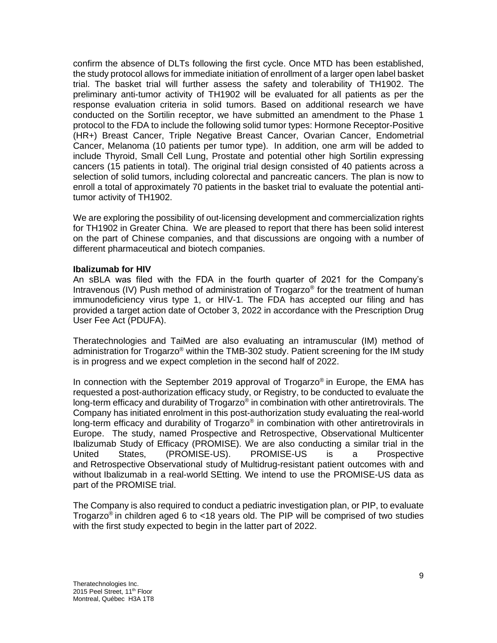confirm the absence of DLTs following the first cycle. Once MTD has been established, the study protocol allows for immediate initiation of enrollment of a larger open label basket trial. The basket trial will further assess the safety and tolerability of TH1902. The preliminary anti-tumor activity of TH1902 will be evaluated for all patients as per the response evaluation criteria in solid tumors. Based on additional research we have conducted on the Sortilin receptor, we have submitted an amendment to the Phase 1 protocol to the FDA to include the following solid tumor types: Hormone Receptor-Positive (HR+) Breast Cancer, Triple Negative Breast Cancer, Ovarian Cancer, Endometrial Cancer, Melanoma (10 patients per tumor type). In addition, one arm will be added to include Thyroid, Small Cell Lung, Prostate and potential other high Sortilin expressing cancers (15 patients in total). The original trial design consisted of 40 patients across a selection of solid tumors, including colorectal and pancreatic cancers. The plan is now to enroll a total of approximately 70 patients in the basket trial to evaluate the potential antitumor activity of TH1902.

We are exploring the possibility of out-licensing development and commercialization rights for TH1902 in Greater China. We are pleased to report that there has been solid interest on the part of Chinese companies, and that discussions are ongoing with a number of different pharmaceutical and biotech companies.

#### **Ibalizumab for HIV**

An sBLA was filed with the FDA in the fourth quarter of 2021 for the Company's Intravenous (IV) Push method of administration of Trogarzo® for the treatment of human immunodeficiency virus type 1, or HIV-1. The FDA has accepted our filing and has provided a target action date of October 3, 2022 in accordance with the Prescription Drug User Fee Act (PDUFA).

Theratechnologies and TaiMed are also evaluating an intramuscular (IM) method of administration for Trogarzo<sup>®</sup> within the TMB-302 study. Patient screening for the IM study is in progress and we expect completion in the second half of 2022.

In connection with the September 2019 approval of Trogarzo® in Europe, the EMA has requested a post-authorization efficacy study, or Registry, to be conducted to evaluate the long-term efficacy and durability of Trogarzo® in combination with other antiretrovirals. The Company has initiated enrolment in this post-authorization study evaluating the real-world long-term efficacy and durability of Trogarzo® in combination with other antiretrovirals in Europe. The study, named Prospective and Retrospective, Observational Multicenter Ibalizumab Study of Efficacy (PROMISE). We are also conducting a similar trial in the United States, (PROMISE-US). PROMISE-US is a Prospective and Retrospective Observational study of Multidrug-resistant patient outcomes with and without Ibalizumab in a real-world SEtting. We intend to use the PROMISE-US data as part of the PROMISE trial.

The Company is also required to conduct a pediatric investigation plan, or PIP, to evaluate Trogarzo® in children aged 6 to <18 years old. The PIP will be comprised of two studies with the first study expected to begin in the latter part of 2022.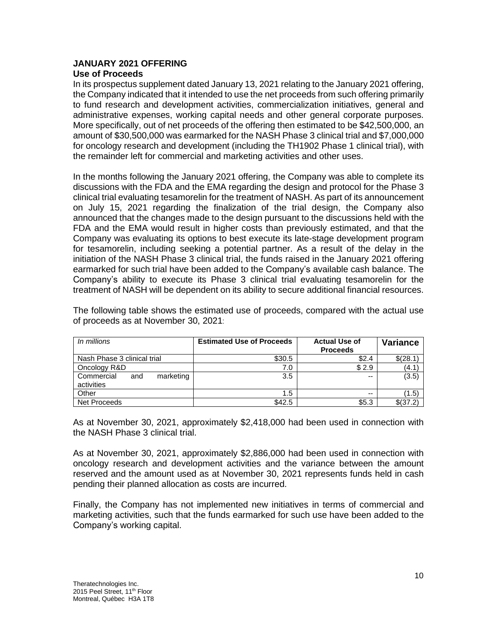#### **JANUARY 2021 OFFERING Use of Proceeds**

In its prospectus supplement dated January 13, 2021 relating to the January 2021 offering, the Company indicated that it intended to use the net proceeds from such offering primarily to fund research and development activities, commercialization initiatives, general and administrative expenses, working capital needs and other general corporate purposes. More specifically, out of net proceeds of the offering then estimated to be \$42,500,000, an amount of \$30,500,000 was earmarked for the NASH Phase 3 clinical trial and \$7,000,000 for oncology research and development (including the TH1902 Phase 1 clinical trial), with the remainder left for commercial and marketing activities and other uses.

In the months following the January 2021 offering, the Company was able to complete its discussions with the FDA and the EMA regarding the design and protocol for the Phase 3 clinical trial evaluating tesamorelin for the treatment of NASH. As part of its announcement on July 15, 2021 regarding the finalization of the trial design, the Company also announced that the changes made to the design pursuant to the discussions held with the FDA and the EMA would result in higher costs than previously estimated, and that the Company was evaluating its options to best execute its late-stage development program for tesamorelin, including seeking a potential partner. As a result of the delay in the initiation of the NASH Phase 3 clinical trial, the funds raised in the January 2021 offering earmarked for such trial have been added to the Company's available cash balance. The Company's ability to execute its Phase 3 clinical trial evaluating tesamorelin for the treatment of NASH will be dependent on its ability to secure additional financial resources.

The following table shows the estimated use of proceeds, compared with the actual use of proceeds as at November 30, 2021:

| In millions                                  | <b>Estimated Use of Proceeds</b> | <b>Actual Use of</b><br><b>Proceeds</b> | <b>Variance</b> |
|----------------------------------------------|----------------------------------|-----------------------------------------|-----------------|
| Nash Phase 3 clinical trial                  | \$30.5                           | \$2.4                                   | \$(28.1)        |
| Oncology R&D                                 | 7.0                              | \$2.9                                   | (4.1)           |
| Commercial<br>marketing<br>and<br>activities | 3.5                              | --                                      | (3.5)           |
| Other                                        | 1.5                              | $- -$                                   | (1.5)           |
| <b>Net Proceeds</b>                          | \$42.5                           | \$5.3                                   | \$ (37.2)       |

As at November 30, 2021, approximately \$2,418,000 had been used in connection with the NASH Phase 3 clinical trial.

As at November 30, 2021, approximately \$2,886,000 had been used in connection with oncology research and development activities and the variance between the amount reserved and the amount used as at November 30, 2021 represents funds held in cash pending their planned allocation as costs are incurred.

Finally, the Company has not implemented new initiatives in terms of commercial and marketing activities, such that the funds earmarked for such use have been added to the Company's working capital.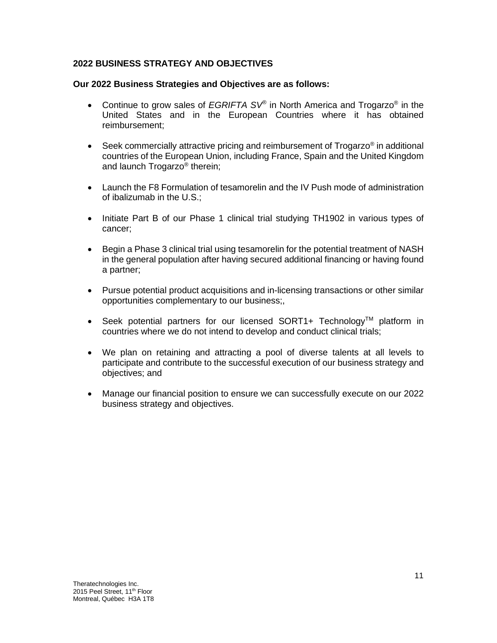# **2022 BUSINESS STRATEGY AND OBJECTIVES**

### **Our 2022 Business Strategies and Objectives are as follows:**

- Continue to grow sales of *EGRIFTA* SV<sup>®</sup> in North America and Trogarzo<sup>®</sup> in the United States and in the European Countries where it has obtained reimbursement;
- Seek commercially attractive pricing and reimbursement of Trogarzo® in additional countries of the European Union, including France, Spain and the United Kingdom and launch Trogarzo® therein;
- Launch the F8 Formulation of tesamorelin and the IV Push mode of administration of ibalizumab in the U.S.;
- Initiate Part B of our Phase 1 clinical trial studying TH1902 in various types of cancer;
- Begin a Phase 3 clinical trial using tesamorelin for the potential treatment of NASH in the general population after having secured additional financing or having found a partner;
- Pursue potential product acquisitions and in-licensing transactions or other similar opportunities complementary to our business;,
- Seek potential partners for our licensed SORT1+ Technology<sup>TM</sup> platform in countries where we do not intend to develop and conduct clinical trials;
- We plan on retaining and attracting a pool of diverse talents at all levels to participate and contribute to the successful execution of our business strategy and objectives; and
- Manage our financial position to ensure we can successfully execute on our 2022 business strategy and objectives.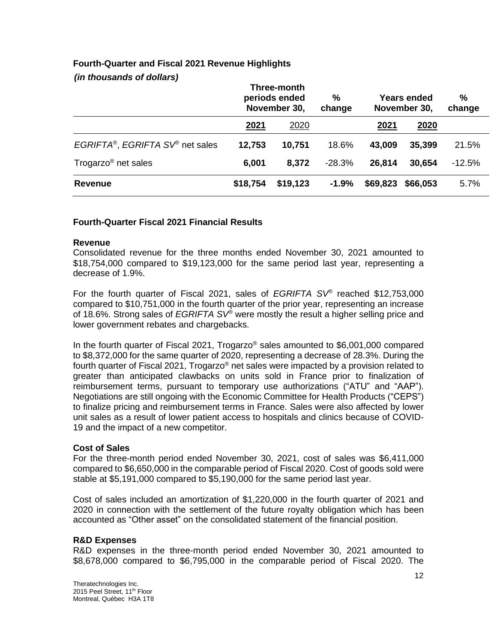|                                                          | Three-month<br>periods ended<br>November 30, |          | %<br>change | <b>Years ended</b><br>November 30, |          | %<br>change |
|----------------------------------------------------------|----------------------------------------------|----------|-------------|------------------------------------|----------|-------------|
|                                                          | 2021                                         | 2020     |             | 2021                               | 2020     |             |
| EGRIFTA <sup>®</sup> , EGRIFTA SV <sup>®</sup> net sales | 12,753                                       | 10,751   | 18.6%       | 43,009                             | 35,399   | 21.5%       |
| Trogarzo <sup>®</sup> net sales                          | 6,001                                        | 8,372    | $-28.3%$    | 26,814                             | 30.654   | $-12.5%$    |
| Revenue                                                  | \$18,754                                     | \$19,123 | $-1.9%$     | \$69,823                           | \$66,053 | 5.7%        |

# **Fourth-Quarter and Fiscal 2021 Revenue Highlights**

### *(in thousands of dollars)*

#### **Fourth-Quarter Fiscal 2021 Financial Results**

#### **Revenue**

Consolidated revenue for the three months ended November 30, 2021 amounted to \$18,754,000 compared to \$19,123,000 for the same period last year, representing a decrease of 1.9%.

For the fourth quarter of Fiscal 2021, sales of *EGRIFTA SV®* reached \$12,753,000 compared to \$10,751,000 in the fourth quarter of the prior year, representing an increase of 18.6%. Strong sales of *EGRIFTA SV®* were mostly the result a higher selling price and lower government rebates and chargebacks.

In the fourth quarter of Fiscal 2021, Trogarzo® sales amounted to \$6,001,000 compared to \$8,372,000 for the same quarter of 2020, representing a decrease of 28.3%. During the fourth quarter of Fiscal 2021, Trogarzo® net sales were impacted by a provision related to greater than anticipated clawbacks on units sold in France prior to finalization of reimbursement terms, pursuant to temporary use authorizations ("ATU" and "AAP"). Negotiations are still ongoing with the Economic Committee for Health Products ("CEPS") to finalize pricing and reimbursement terms in France. Sales were also affected by lower unit sales as a result of lower patient access to hospitals and clinics because of COVID-19 and the impact of a new competitor.

#### **Cost of Sales**

For the three-month period ended November 30, 2021, cost of sales was \$6,411,000 compared to \$6,650,000 in the comparable period of Fiscal 2020. Cost of goods sold were stable at \$5,191,000 compared to \$5,190,000 for the same period last year.

Cost of sales included an amortization of \$1,220,000 in the fourth quarter of 2021 and 2020 in connection with the settlement of the future royalty obligation which has been accounted as "Other asset" on the consolidated statement of the financial position.

#### **R&D Expenses**

R&D expenses in the three-month period ended November 30, 2021 amounted to \$8,678,000 compared to \$6,795,000 in the comparable period of Fiscal 2020. The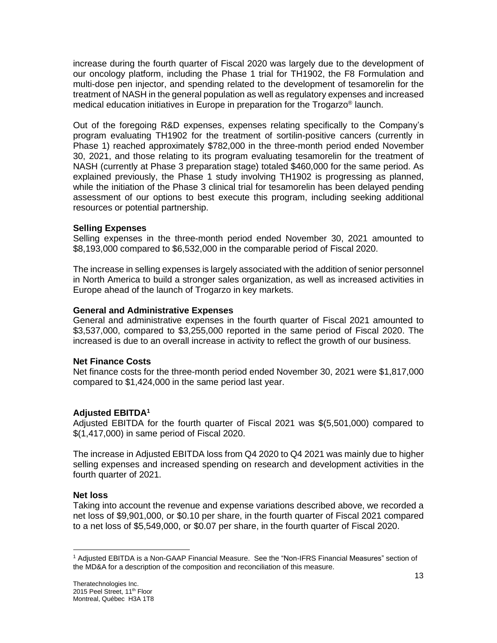increase during the fourth quarter of Fiscal 2020 was largely due to the development of our oncology platform, including the Phase 1 trial for TH1902, the F8 Formulation and multi-dose pen injector, and spending related to the development of tesamorelin for the treatment of NASH in the general population as well as regulatory expenses and increased medical education initiatives in Europe in preparation for the Trogarzo<sup>®</sup> launch.

Out of the foregoing R&D expenses, expenses relating specifically to the Company's program evaluating TH1902 for the treatment of sortilin-positive cancers (currently in Phase 1) reached approximately \$782,000 in the three-month period ended November 30, 2021, and those relating to its program evaluating tesamorelin for the treatment of NASH (currently at Phase 3 preparation stage) totaled \$460,000 for the same period. As explained previously, the Phase 1 study involving TH1902 is progressing as planned, while the initiation of the Phase 3 clinical trial for tesamorelin has been delayed pending assessment of our options to best execute this program, including seeking additional resources or potential partnership.

### **Selling Expenses**

Selling expenses in the three-month period ended November 30, 2021 amounted to \$8,193,000 compared to \$6,532,000 in the comparable period of Fiscal 2020.

The increase in selling expenses is largely associated with the addition of senior personnel in North America to build a stronger sales organization, as well as increased activities in Europe ahead of the launch of Trogarzo in key markets.

### **General and Administrative Expenses**

General and administrative expenses in the fourth quarter of Fiscal 2021 amounted to \$3,537,000, compared to \$3,255,000 reported in the same period of Fiscal 2020. The increased is due to an overall increase in activity to reflect the growth of our business.

# **Net Finance Costs**

Net finance costs for the three-month period ended November 30, 2021 were \$1,817,000 compared to \$1,424,000 in the same period last year.

# **Adjusted EBITDA<sup>1</sup>**

Adjusted EBITDA for the fourth quarter of Fiscal 2021 was \$(5,501,000) compared to \$(1,417,000) in same period of Fiscal 2020.

The increase in Adjusted EBITDA loss from Q4 2020 to Q4 2021 was mainly due to higher selling expenses and increased spending on research and development activities in the fourth quarter of 2021.

# **Net loss**

Taking into account the revenue and expense variations described above, we recorded a net loss of \$9,901,000, or \$0.10 per share, in the fourth quarter of Fiscal 2021 compared to a net loss of \$5,549,000, or \$0.07 per share, in the fourth quarter of Fiscal 2020.

<sup>1</sup> Adjusted EBITDA is a Non-GAAP Financial Measure. See the "Non-IFRS Financial Measures" section of the MD&A for a description of the composition and reconciliation of this measure.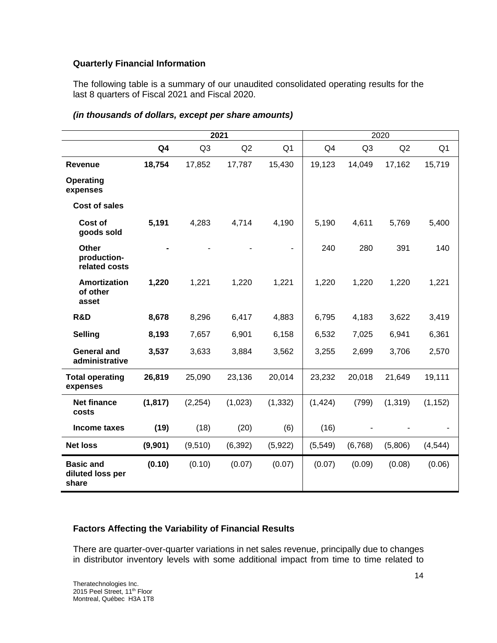# **Quarterly Financial Information**

The following table is a summary of our unaudited consolidated operating results for the last 8 quarters of Fiscal 2021 and Fiscal 2020.

|                                               | 2021     |                |          |                |          |                | 2020     |                |
|-----------------------------------------------|----------|----------------|----------|----------------|----------|----------------|----------|----------------|
|                                               | Q4       | Q <sub>3</sub> | Q2       | Q <sub>1</sub> | Q4       | Q <sub>3</sub> | Q2       | Q <sub>1</sub> |
| <b>Revenue</b>                                | 18,754   | 17,852         | 17,787   | 15,430         | 19,123   | 14,049         | 17,162   | 15,719         |
| <b>Operating</b><br>expenses                  |          |                |          |                |          |                |          |                |
| <b>Cost of sales</b>                          |          |                |          |                |          |                |          |                |
| Cost of<br>goods sold                         | 5,191    | 4,283          | 4,714    | 4,190          | 5,190    | 4,611          | 5,769    | 5,400          |
| <b>Other</b><br>production-<br>related costs  |          |                |          |                | 240      | 280            | 391      | 140            |
| <b>Amortization</b><br>of other<br>asset      | 1,220    | 1,221          | 1,220    | 1,221          | 1,220    | 1,220          | 1,220    | 1,221          |
| R&D                                           | 8,678    | 8,296          | 6,417    | 4,883          | 6,795    | 4,183          | 3,622    | 3,419          |
| <b>Selling</b>                                | 8,193    | 7,657          | 6,901    | 6,158          | 6,532    | 7,025          | 6,941    | 6,361          |
| <b>General and</b><br>administrative          | 3,537    | 3,633          | 3,884    | 3,562          | 3,255    | 2,699          | 3,706    | 2,570          |
| <b>Total operating</b><br>expenses            | 26,819   | 25,090         | 23,136   | 20,014         | 23,232   | 20,018         | 21,649   | 19,111         |
| <b>Net finance</b><br>costs                   | (1, 817) | (2, 254)       | (1,023)  | (1, 332)       | (1, 424) | (799)          | (1, 319) | (1, 152)       |
| Income taxes                                  | (19)     | (18)           | (20)     | (6)            | (16)     |                |          |                |
| <b>Net loss</b>                               | (9,901)  | (9,510)        | (6, 392) | (5,922)        | (5, 549) | (6,768)        | (5,806)  | (4, 544)       |
| <b>Basic and</b><br>diluted loss per<br>share | (0.10)   | (0.10)         | (0.07)   | (0.07)         | (0.07)   | (0.09)         | (0.08)   | (0.06)         |

#### *(in thousands of dollars, except per share amounts)*

# **Factors Affecting the Variability of Financial Results**

There are quarter-over-quarter variations in net sales revenue, principally due to changes in distributor inventory levels with some additional impact from time to time related to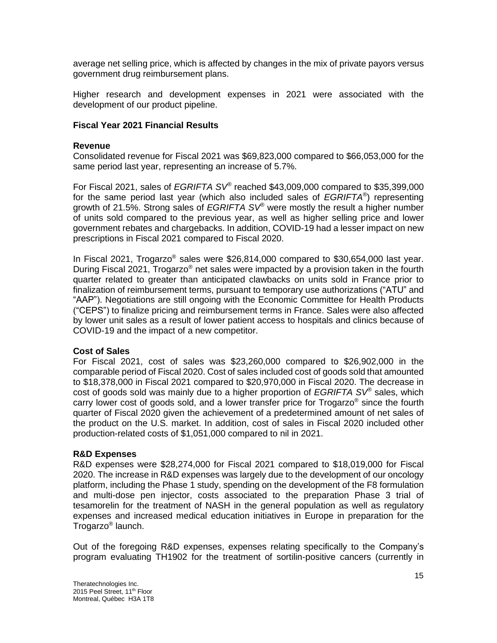average net selling price, which is affected by changes in the mix of private payors versus government drug reimbursement plans.

Higher research and development expenses in 2021 were associated with the development of our product pipeline.

### **Fiscal Year 2021 Financial Results**

### **Revenue**

Consolidated revenue for Fiscal 2021 was \$69,823,000 compared to \$66,053,000 for the same period last year, representing an increase of 5.7%.

For Fiscal 2021, sales of *EGRIFTA SV®* reached \$43,009,000 compared to \$35,399,000 for the same period last year (which also included sales of *EGRIFTA®* ) representing growth of 21.5%. Strong sales of *EGRIFTA SV®* were mostly the result a higher number of units sold compared to the previous year, as well as higher selling price and lower government rebates and chargebacks. In addition, COVID-19 had a lesser impact on new prescriptions in Fiscal 2021 compared to Fiscal 2020.

In Fiscal 2021, Trogarzo® sales were \$26,814,000 compared to \$30,654,000 last year. During Fiscal 2021, Trogarzo® net sales were impacted by a provision taken in the fourth quarter related to greater than anticipated clawbacks on units sold in France prior to finalization of reimbursement terms, pursuant to temporary use authorizations ("ATU" and "AAP"). Negotiations are still ongoing with the Economic Committee for Health Products ("CEPS") to finalize pricing and reimbursement terms in France. Sales were also affected by lower unit sales as a result of lower patient access to hospitals and clinics because of COVID-19 and the impact of a new competitor.

# **Cost of Sales**

For Fiscal 2021, cost of sales was \$23,260,000 compared to \$26,902,000 in the comparable period of Fiscal 2020. Cost of sales included cost of goods sold that amounted to \$18,378,000 in Fiscal 2021 compared to \$20,970,000 in Fiscal 2020. The decrease in cost of goods sold was mainly due to a higher proportion of *EGRIFTA SV®* sales, which carry lower cost of goods sold, and a lower transfer price for Trogarzo® since the fourth quarter of Fiscal 2020 given the achievement of a predetermined amount of net sales of the product on the U.S. market. In addition, cost of sales in Fiscal 2020 included other production-related costs of \$1,051,000 compared to nil in 2021.

# **R&D Expenses**

R&D expenses were \$28,274,000 for Fiscal 2021 compared to \$18,019,000 for Fiscal 2020. The increase in R&D expenses was largely due to the development of our oncology platform, including the Phase 1 study, spending on the development of the F8 formulation and multi-dose pen injector, costs associated to the preparation Phase 3 trial of tesamorelin for the treatment of NASH in the general population as well as regulatory expenses and increased medical education initiatives in Europe in preparation for the Trogarzo® launch.

Out of the foregoing R&D expenses, expenses relating specifically to the Company's program evaluating TH1902 for the treatment of sortilin-positive cancers (currently in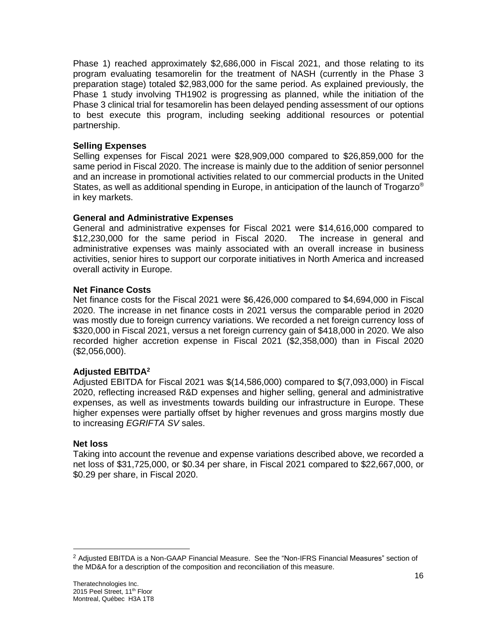Phase 1) reached approximately \$2,686,000 in Fiscal 2021, and those relating to its program evaluating tesamorelin for the treatment of NASH (currently in the Phase 3 preparation stage) totaled \$2,983,000 for the same period. As explained previously, the Phase 1 study involving TH1902 is progressing as planned, while the initiation of the Phase 3 clinical trial for tesamorelin has been delayed pending assessment of our options to best execute this program, including seeking additional resources or potential partnership.

# **Selling Expenses**

Selling expenses for Fiscal 2021 were \$28,909,000 compared to \$26,859,000 for the same period in Fiscal 2020. The increase is mainly due to the addition of senior personnel and an increase in promotional activities related to our commercial products in the United States, as well as additional spending in Europe, in anticipation of the launch of Trogarzo<sup>®</sup> in key markets.

### **General and Administrative Expenses**

General and administrative expenses for Fiscal 2021 were \$14,616,000 compared to \$12,230,000 for the same period in Fiscal 2020. The increase in general and administrative expenses was mainly associated with an overall increase in business activities, senior hires to support our corporate initiatives in North America and increased overall activity in Europe.

### **Net Finance Costs**

Net finance costs for the Fiscal 2021 were \$6,426,000 compared to \$4,694,000 in Fiscal 2020. The increase in net finance costs in 2021 versus the comparable period in 2020 was mostly due to foreign currency variations. We recorded a net foreign currency loss of \$320,000 in Fiscal 2021, versus a net foreign currency gain of \$418,000 in 2020. We also recorded higher accretion expense in Fiscal 2021 (\$2,358,000) than in Fiscal 2020 (\$2,056,000).

# **Adjusted EBITDA<sup>2</sup>**

Adjusted EBITDA for Fiscal 2021 was \$(14,586,000) compared to \$(7,093,000) in Fiscal 2020, reflecting increased R&D expenses and higher selling, general and administrative expenses, as well as investments towards building our infrastructure in Europe. These higher expenses were partially offset by higher revenues and gross margins mostly due to increasing *EGRIFTA SV* sales.

#### **Net loss**

Taking into account the revenue and expense variations described above, we recorded a net loss of \$31,725,000, or \$0.34 per share, in Fiscal 2021 compared to \$22,667,000, or \$0.29 per share, in Fiscal 2020.

<sup>&</sup>lt;sup>2</sup> Adjusted EBITDA is a Non-GAAP Financial Measure. See the "Non-IFRS Financial Measures" section of the MD&A for a description of the composition and reconciliation of this measure.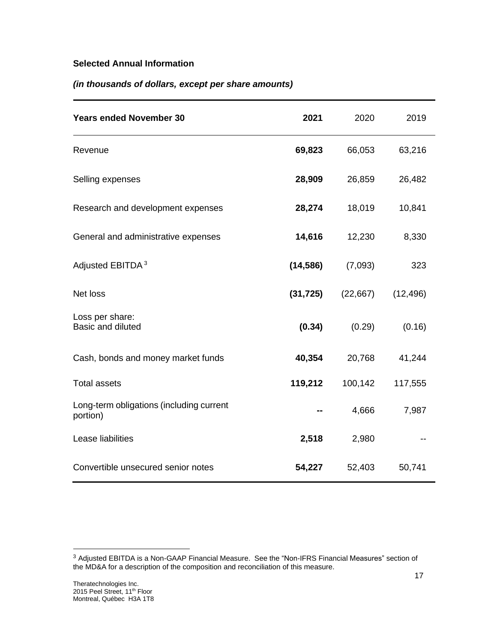# **Selected Annual Information**

# *(in thousands of dollars, except per share amounts)*

| <b>Years ended November 30</b>                       | 2021      | 2020      | 2019      |
|------------------------------------------------------|-----------|-----------|-----------|
| Revenue                                              | 69,823    | 66,053    | 63,216    |
| Selling expenses                                     | 28,909    | 26,859    | 26,482    |
| Research and development expenses                    | 28,274    | 18,019    | 10,841    |
| General and administrative expenses                  | 14,616    | 12,230    | 8,330     |
| Adjusted EBITDA <sup>3</sup>                         | (14, 586) | (7,093)   | 323       |
| Net loss                                             | (31, 725) | (22, 667) | (12, 496) |
| Loss per share:<br>Basic and diluted                 | (0.34)    | (0.29)    | (0.16)    |
| Cash, bonds and money market funds                   | 40,354    | 20,768    | 41,244    |
| <b>Total assets</b>                                  | 119,212   | 100,142   | 117,555   |
| Long-term obligations (including current<br>portion) |           | 4,666     | 7,987     |
| Lease liabilities                                    | 2,518     | 2,980     |           |
| Convertible unsecured senior notes                   | 54,227    | 52,403    | 50,741    |

 $3$  Adjusted EBITDA is a Non-GAAP Financial Measure. See the "Non-IFRS Financial Measures" section of the MD&A for a description of the composition and reconciliation of this measure.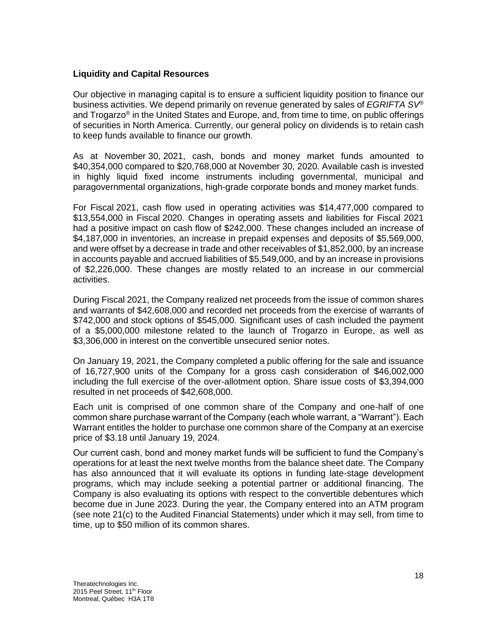# **Liquidity and Capital Resources**

Our objective in managing capital is to ensure a sufficient liquidity position to finance our business activities. We depend primarily on revenue generated by sales of *EGRIFTA SV*® and Trogarzo® in the United States and Europe, and, from time to time, on public offerings of securities in North America. Currently, our general policy on dividends is to retain cash to keep funds available to finance our growth.

As at November 30, 2021, cash, bonds and money market funds amounted to \$40,354,000 compared to \$20,768,000 at November 30, 2020. Available cash is invested in highly liquid fixed income instruments including governmental, municipal and paragovernmental organizations, high-grade corporate bonds and money market funds.

For Fiscal 2021, cash flow used in operating activities was \$14,477,000 compared to \$13,554,000 in Fiscal 2020. Changes in operating assets and liabilities for Fiscal 2021 had a positive impact on cash flow of \$242,000. These changes included an increase of \$4,187,000 in inventories, an increase in prepaid expenses and deposits of \$5,569,000, and were offset by a decrease in trade and other receivables of \$1,852,000, by an increase in accounts payable and accrued liabilities of \$5,549,000, and by an increase in provisions of \$2,226,000. These changes are mostly related to an increase in our commercial activities.

During Fiscal 2021, the Company realized net proceeds from the issue of common shares and warrants of \$42,608,000 and recorded net proceeds from the exercise of warrants of \$742,000 and stock options of \$545,000. Significant uses of cash included the payment of a \$5,000,000 milestone related to the launch of Trogarzo in Europe, as well as \$3,306,000 in interest on the convertible unsecured senior notes.

On January 19, 2021, the Company completed a public offering for the sale and issuance of 16,727,900 units of the Company for a gross cash consideration of \$46,002,000 including the full exercise of the over-allotment option. Share issue costs of \$3,394,000 resulted in net proceeds of \$42,608,000.

Each unit is comprised of one common share of the Company and one-half of one common share purchase warrant of the Company (each whole warrant, a "Warrant"). Each Warrant entitles the holder to purchase one common share of the Company at an exercise price of \$3.18 until January 19, 2024.

Our current cash, bond and money market funds will be sufficient to fund the Company's operations for at least the next twelve months from the balance sheet date. The Company has also announced that it will evaluate its options in funding late-stage development programs, which may include seeking a potential partner or additional financing. The Company is also evaluating its options with respect to the convertible debentures which become due in June 2023. During the year, the Company entered into an ATM program (see note 21(c) to the Audited Financial Statements) under which it may sell, from time to time, up to \$50 million of its common shares.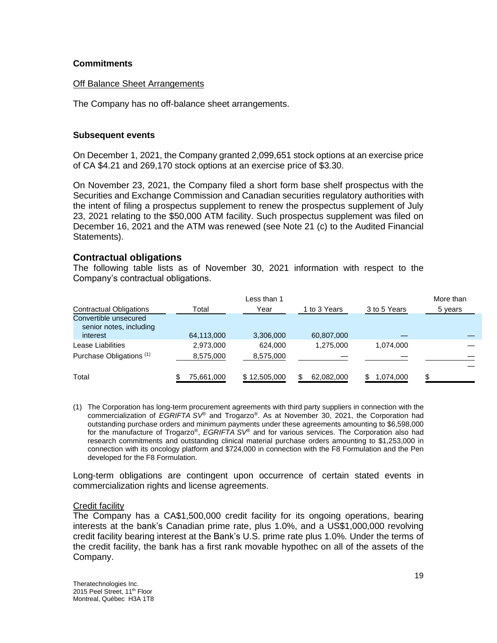### **Commitments**

### Off Balance Sheet Arrangements

The Company has no off-balance sheet arrangements.

### **Subsequent events**

On December 1, 2021, the Company granted 2,099,651 stock options at an exercise price of CA \$4.21 and 269,170 stock options at an exercise price of \$3.30.

On November 23, 2021, the Company filed a short form base shelf prospectus with the Securities and Exchange Commission and Canadian securities regulatory authorities with the intent of filing a prospectus supplement to renew the prospectus supplement of July 23, 2021 relating to the \$50,000 ATM facility. Such prospectus supplement was filed on December 16, 2021 and the ATM was renewed (see Note 21 (c) to the Audited Financial Statements).

# **Contractual obligations**

The following table lists as of November 30, 2021 information with respect to the Company's contractual obligations.

|                                                  |            | Less than 1  |              |              | More than |
|--------------------------------------------------|------------|--------------|--------------|--------------|-----------|
| <b>Contractual Obligations</b>                   | Total      | Year         | 1 to 3 Years | 3 to 5 Years | 5 years   |
| Convertible unsecured<br>senior notes, including |            |              |              |              |           |
| interest                                         | 64,113,000 | 3,306,000    | 60,807,000   |              |           |
| Lease Liabilities                                | 2,973,000  | 624.000      | 1,275,000    | 1,074,000    |           |
| Purchase Obligations <sup>(1)</sup>              | 8,575,000  | 8,575,000    |              |              |           |
| Total                                            | 75,661,000 | \$12,505,000 | 62,082,000   | 1,074,000    |           |

(1) The Corporation has long-term procurement agreements with third party suppliers in connection with the commercialization of *EGRIFTA SV*® and Trogarzo®. As at November 30, 2021, the Corporation had outstanding purchase orders and minimum payments under these agreements amounting to \$6,598,000 for the manufacture of Trogarzo®, *EGRIFTA SV*® and for various services. The Corporation also had research commitments and outstanding clinical material purchase orders amounting to \$1,253,000 in connection with its oncology platform and \$724,000 in connection with the F8 Formulation and the Pen developed for the F8 Formulation.

Long-term obligations are contingent upon occurrence of certain stated events in commercialization rights and license agreements.

### Credit facility

The Company has a CA\$1,500,000 credit facility for its ongoing operations, bearing interests at the bank's Canadian prime rate, plus 1.0%, and a US\$1,000,000 revolving credit facility bearing interest at the Bank's U.S. prime rate plus 1.0%. Under the terms of the credit facility, the bank has a first rank movable hypothec on all of the assets of the Company.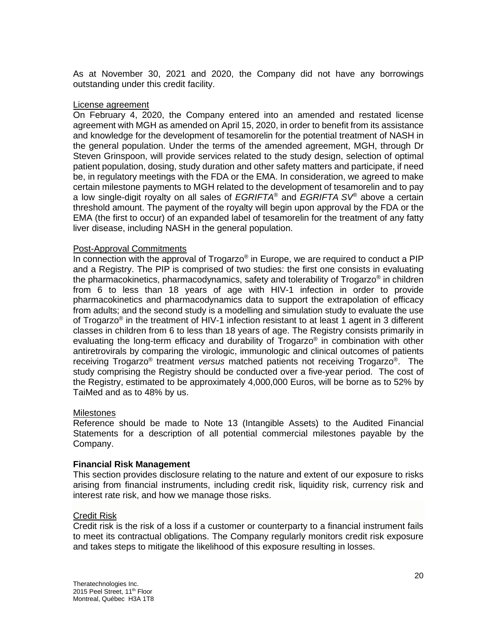As at November 30, 2021 and 2020, the Company did not have any borrowings outstanding under this credit facility.

#### License agreement

On February 4, 2020, the Company entered into an amended and restated license agreement with MGH as amended on April 15, 2020, in order to benefit from its assistance and knowledge for the development of tesamorelin for the potential treatment of NASH in the general population. Under the terms of the amended agreement, MGH, through Dr Steven Grinspoon, will provide services related to the study design, selection of optimal patient population, dosing, study duration and other safety matters and participate, if need be, in regulatory meetings with the FDA or the EMA. In consideration, we agreed to make certain milestone payments to MGH related to the development of tesamorelin and to pay a low single-digit royalty on all sales of *EGRIFTA*® and *EGRIFTA SV*® above a certain threshold amount. The payment of the royalty will begin upon approval by the FDA or the EMA (the first to occur) of an expanded label of tesamorelin for the treatment of any fatty liver disease, including NASH in the general population.

#### Post-Approval Commitments

In connection with the approval of Trogarzo® in Europe, we are required to conduct a PIP and a Registry. The PIP is comprised of two studies: the first one consists in evaluating the pharmacokinetics, pharmacodynamics, safety and tolerability of Trogarzo® in children from 6 to less than 18 years of age with HIV-1 infection in order to provide pharmacokinetics and pharmacodynamics data to support the extrapolation of efficacy from adults; and the second study is a modelling and simulation study to evaluate the use of Trogarzo® in the treatment of HIV-1 infection resistant to at least 1 agent in 3 different classes in children from 6 to less than 18 years of age. The Registry consists primarily in evaluating the long-term efficacy and durability of Trogarzo® in combination with other antiretrovirals by comparing the virologic, immunologic and clinical outcomes of patients receiving Trogarzo<sup>®</sup> treatment *versus* matched patients not receiving Trogarzo<sup>®</sup>. The study comprising the Registry should be conducted over a five-year period. The cost of the Registry, estimated to be approximately 4,000,000 Euros, will be borne as to 52% by TaiMed and as to 48% by us.

#### Milestones

Reference should be made to Note 13 (Intangible Assets) to the Audited Financial Statements for a description of all potential commercial milestones payable by the Company.

#### **Financial Risk Management**

This section provides disclosure relating to the nature and extent of our exposure to risks arising from financial instruments, including credit risk, liquidity risk, currency risk and interest rate risk, and how we manage those risks.

#### Credit Risk

Credit risk is the risk of a loss if a customer or counterparty to a financial instrument fails to meet its contractual obligations. The Company regularly monitors credit risk exposure and takes steps to mitigate the likelihood of this exposure resulting in losses.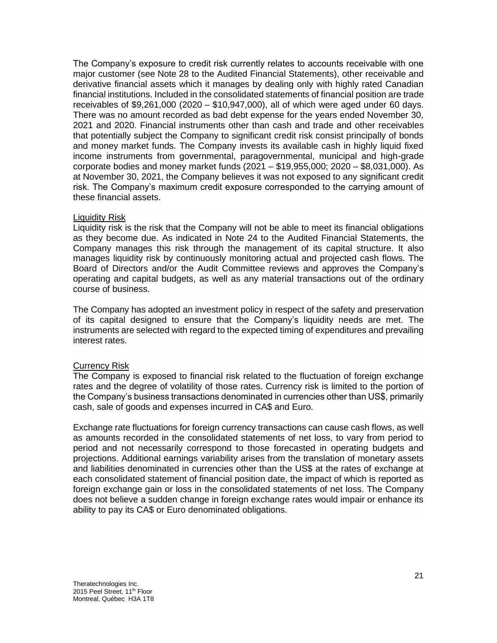The Company's exposure to credit risk currently relates to accounts receivable with one major customer (see Note 28 to the Audited Financial Statements), other receivable and derivative financial assets which it manages by dealing only with highly rated Canadian financial institutions. Included in the consolidated statements of financial position are trade receivables of \$9,261,000 (2020 – \$10,947,000), all of which were aged under 60 days. There was no amount recorded as bad debt expense for the years ended November 30, 2021 and 2020. Financial instruments other than cash and trade and other receivables that potentially subject the Company to significant credit risk consist principally of bonds and money market funds. The Company invests its available cash in highly liquid fixed income instruments from governmental, paragovernmental, municipal and high-grade corporate bodies and money market funds (2021 – \$19,955,000; 2020 – \$8,031,000). As at November 30, 2021, the Company believes it was not exposed to any significant credit risk. The Company's maximum credit exposure corresponded to the carrying amount of these financial assets.

#### Liquidity Risk

Liquidity risk is the risk that the Company will not be able to meet its financial obligations as they become due. As indicated in Note 24 to the Audited Financial Statements, the Company manages this risk through the management of its capital structure. It also manages liquidity risk by continuously monitoring actual and projected cash flows. The Board of Directors and/or the Audit Committee reviews and approves the Company's operating and capital budgets, as well as any material transactions out of the ordinary course of business.

The Company has adopted an investment policy in respect of the safety and preservation of its capital designed to ensure that the Company's liquidity needs are met. The instruments are selected with regard to the expected timing of expenditures and prevailing interest rates.

#### **Currency Risk**

The Company is exposed to financial risk related to the fluctuation of foreign exchange rates and the degree of volatility of those rates. Currency risk is limited to the portion of the Company's business transactions denominated in currencies other than US\$, primarily cash, sale of goods and expenses incurred in CA\$ and Euro.

Exchange rate fluctuations for foreign currency transactions can cause cash flows, as well as amounts recorded in the consolidated statements of net loss, to vary from period to period and not necessarily correspond to those forecasted in operating budgets and projections. Additional earnings variability arises from the translation of monetary assets and liabilities denominated in currencies other than the US\$ at the rates of exchange at each consolidated statement of financial position date, the impact of which is reported as foreign exchange gain or loss in the consolidated statements of net loss. The Company does not believe a sudden change in foreign exchange rates would impair or enhance its ability to pay its CA\$ or Euro denominated obligations.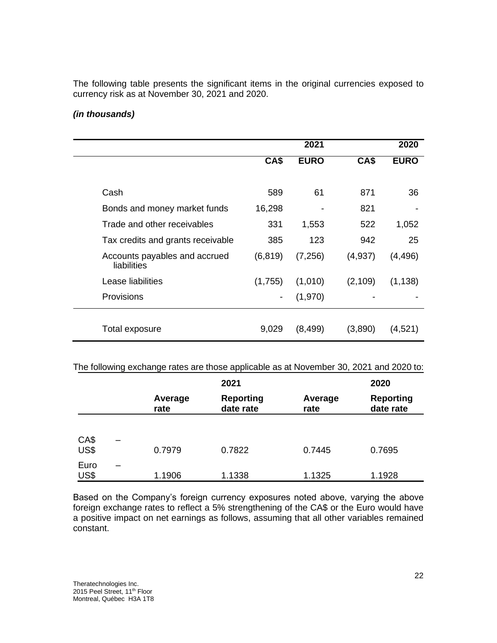The following table presents the significant items in the original currencies exposed to currency risk as at November 30, 2021 and 2020.

# *(in thousands)*

|                                              |                | 2021        |          | 2020        |
|----------------------------------------------|----------------|-------------|----------|-------------|
|                                              | CA\$           | <b>EURO</b> | CA\$     | <b>EURO</b> |
|                                              |                |             |          |             |
| Cash                                         | 589            | 61          | 871      | 36          |
| Bonds and money market funds                 | 16,298         |             | 821      |             |
| Trade and other receivables                  | 331            | 1,553       | 522      | 1,052       |
| Tax credits and grants receivable            | 385            | 123         | 942      | 25          |
| Accounts payables and accrued<br>liabilities | (6, 819)       | (7,256)     | (4,937)  | (4,496)     |
| Lease liabilities                            | (1,755)        | (1,010)     | (2, 109) | (1, 138)    |
| <b>Provisions</b>                            | $\blacksquare$ | (1,970)     |          |             |
| Total exposure                               | 9,029          | (8, 499)    | (3,890)  | (4,521)     |

The following exchange rates are those applicable as at November 30, 2021 and 2020 to:

|              |   |                 | 2021                          |                 | 2020                          |
|--------------|---|-----------------|-------------------------------|-----------------|-------------------------------|
|              |   | Average<br>rate | <b>Reporting</b><br>date rate | Average<br>rate | <b>Reporting</b><br>date rate |
|              |   |                 |                               |                 |                               |
| CA\$<br>US\$ | – | 0.7979          | 0.7822                        | 0.7445          | 0.7695                        |
| Euro<br>US\$ |   | 1.1906          | 1.1338                        | 1.1325          | 1.1928                        |

Based on the Company's foreign currency exposures noted above, varying the above foreign exchange rates to reflect a 5% strengthening of the CA\$ or the Euro would have a positive impact on net earnings as follows, assuming that all other variables remained constant.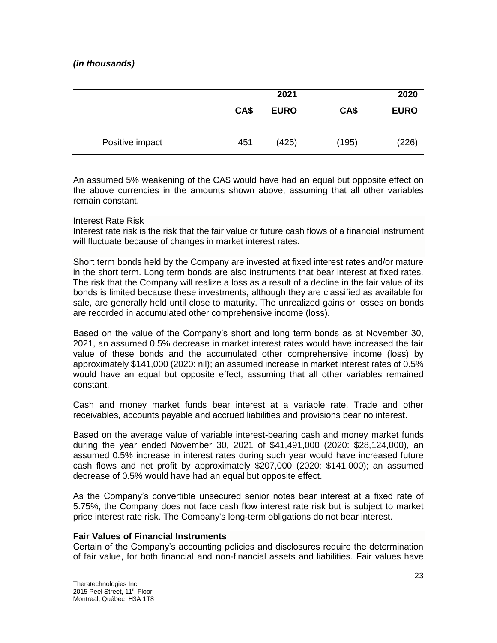# *(in thousands)*

|                 |      | 2020        |       |             |
|-----------------|------|-------------|-------|-------------|
|                 | CA\$ | <b>EURO</b> | CA\$  | <b>EURO</b> |
| Positive impact | 451  | (425)       | (195) | (226)       |

An assumed 5% weakening of the CA\$ would have had an equal but opposite effect on the above currencies in the amounts shown above, assuming that all other variables remain constant.

#### Interest Rate Risk

Interest rate risk is the risk that the fair value or future cash flows of a financial instrument will fluctuate because of changes in market interest rates.

Short term bonds held by the Company are invested at fixed interest rates and/or mature in the short term. Long term bonds are also instruments that bear interest at fixed rates. The risk that the Company will realize a loss as a result of a decline in the fair value of its bonds is limited because these investments, although they are classified as available for sale, are generally held until close to maturity. The unrealized gains or losses on bonds are recorded in accumulated other comprehensive income (loss).

Based on the value of the Company's short and long term bonds as at November 30, 2021, an assumed 0.5% decrease in market interest rates would have increased the fair value of these bonds and the accumulated other comprehensive income (loss) by approximately \$141,000 (2020: nil); an assumed increase in market interest rates of 0.5% would have an equal but opposite effect, assuming that all other variables remained constant.

Cash and money market funds bear interest at a variable rate. Trade and other receivables, accounts payable and accrued liabilities and provisions bear no interest.

Based on the average value of variable interest-bearing cash and money market funds during the year ended November 30, 2021 of \$41,491,000 (2020: \$28,124,000), an assumed 0.5% increase in interest rates during such year would have increased future cash flows and net profit by approximately \$207,000 (2020: \$141,000); an assumed decrease of 0.5% would have had an equal but opposite effect.

As the Company's convertible unsecured senior notes bear interest at a fixed rate of 5.75%, the Company does not face cash flow interest rate risk but is subject to market price interest rate risk. The Company's long-term obligations do not bear interest.

#### **Fair Values of Financial Instruments**

Certain of the Company's accounting policies and disclosures require the determination of fair value, for both financial and non-financial assets and liabilities. Fair values have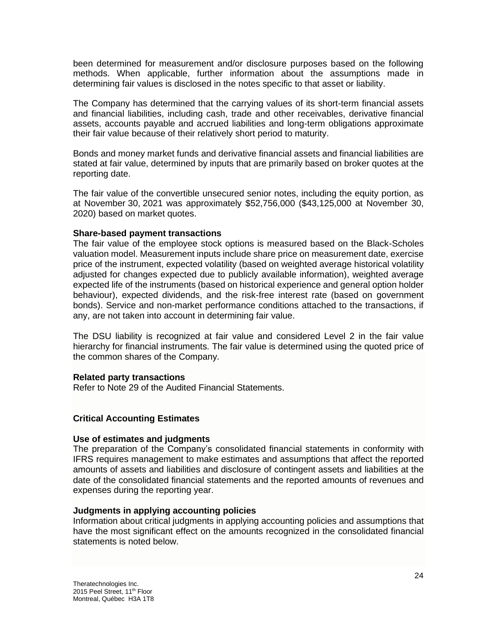been determined for measurement and/or disclosure purposes based on the following methods. When applicable, further information about the assumptions made in determining fair values is disclosed in the notes specific to that asset or liability.

The Company has determined that the carrying values of its short-term financial assets and financial liabilities, including cash, trade and other receivables, derivative financial assets, accounts payable and accrued liabilities and long-term obligations approximate their fair value because of their relatively short period to maturity.

Bonds and money market funds and derivative financial assets and financial liabilities are stated at fair value, determined by inputs that are primarily based on broker quotes at the reporting date.

The fair value of the convertible unsecured senior notes, including the equity portion, as at November 30, 2021 was approximately \$52,756,000 (\$43,125,000 at November 30, 2020) based on market quotes.

### **Share-based payment transactions**

The fair value of the employee stock options is measured based on the Black-Scholes valuation model. Measurement inputs include share price on measurement date, exercise price of the instrument, expected volatility (based on weighted average historical volatility adjusted for changes expected due to publicly available information), weighted average expected life of the instruments (based on historical experience and general option holder behaviour), expected dividends, and the risk-free interest rate (based on government bonds). Service and non-market performance conditions attached to the transactions, if any, are not taken into account in determining fair value.

The DSU liability is recognized at fair value and considered Level 2 in the fair value hierarchy for financial instruments. The fair value is determined using the quoted price of the common shares of the Company.

#### **Related party transactions**

Refer to Note 29 of the Audited Financial Statements.

# **Critical Accounting Estimates**

#### **Use of estimates and judgments**

The preparation of the Company's consolidated financial statements in conformity with IFRS requires management to make estimates and assumptions that affect the reported amounts of assets and liabilities and disclosure of contingent assets and liabilities at the date of the consolidated financial statements and the reported amounts of revenues and expenses during the reporting year.

### **Judgments in applying accounting policies**

Information about critical judgments in applying accounting policies and assumptions that have the most significant effect on the amounts recognized in the consolidated financial statements is noted below.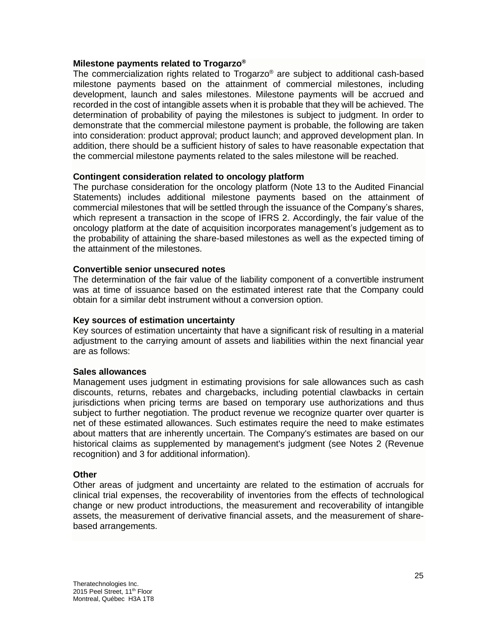### **Milestone payments related to Trogarzo®**

The commercialization rights related to Trogarzo® are subject to additional cash-based milestone payments based on the attainment of commercial milestones, including development, launch and sales milestones. Milestone payments will be accrued and recorded in the cost of intangible assets when it is probable that they will be achieved. The determination of probability of paying the milestones is subject to judgment. In order to demonstrate that the commercial milestone payment is probable, the following are taken into consideration: product approval; product launch; and approved development plan. In addition, there should be a sufficient history of sales to have reasonable expectation that the commercial milestone payments related to the sales milestone will be reached.

#### **Contingent consideration related to oncology platform**

The purchase consideration for the oncology platform (Note 13 to the Audited Financial Statements) includes additional milestone payments based on the attainment of commercial milestones that will be settled through the issuance of the Company's shares, which represent a transaction in the scope of IFRS 2. Accordingly, the fair value of the oncology platform at the date of acquisition incorporates management's judgement as to the probability of attaining the share-based milestones as well as the expected timing of the attainment of the milestones.

#### **Convertible senior unsecured notes**

The determination of the fair value of the liability component of a convertible instrument was at time of issuance based on the estimated interest rate that the Company could obtain for a similar debt instrument without a conversion option.

#### **Key sources of estimation uncertainty**

Key sources of estimation uncertainty that have a significant risk of resulting in a material adjustment to the carrying amount of assets and liabilities within the next financial year are as follows:

#### **Sales allowances**

Management uses judgment in estimating provisions for sale allowances such as cash discounts, returns, rebates and chargebacks, including potential clawbacks in certain jurisdictions when pricing terms are based on temporary use authorizations and thus subject to further negotiation. The product revenue we recognize quarter over quarter is net of these estimated allowances. Such estimates require the need to make estimates about matters that are inherently uncertain. The Company's estimates are based on our historical claims as supplemented by management's judgment (see Notes 2 (Revenue recognition) and 3 for additional information).

#### **Other**

Other areas of judgment and uncertainty are related to the estimation of accruals for clinical trial expenses, the recoverability of inventories from the effects of technological change or new product introductions, the measurement and recoverability of intangible assets, the measurement of derivative financial assets, and the measurement of sharebased arrangements.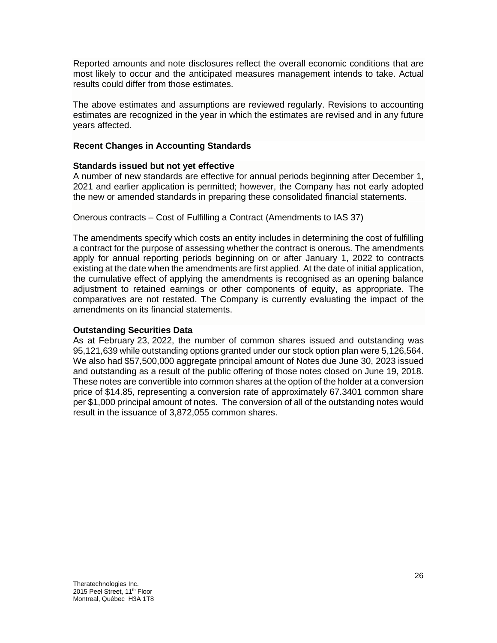Reported amounts and note disclosures reflect the overall economic conditions that are most likely to occur and the anticipated measures management intends to take. Actual results could differ from those estimates.

The above estimates and assumptions are reviewed regularly. Revisions to accounting estimates are recognized in the year in which the estimates are revised and in any future years affected.

# **Recent Changes in Accounting Standards**

# **Standards issued but not yet effective**

A number of new standards are effective for annual periods beginning after December 1, 2021 and earlier application is permitted; however, the Company has not early adopted the new or amended standards in preparing these consolidated financial statements.

Onerous contracts – Cost of Fulfilling a Contract (Amendments to IAS 37)

The amendments specify which costs an entity includes in determining the cost of fulfilling a contract for the purpose of assessing whether the contract is onerous. The amendments apply for annual reporting periods beginning on or after January 1, 2022 to contracts existing at the date when the amendments are first applied. At the date of initial application, the cumulative effect of applying the amendments is recognised as an opening balance adjustment to retained earnings or other components of equity, as appropriate. The comparatives are not restated. The Company is currently evaluating the impact of the amendments on its financial statements.

# **Outstanding Securities Data**

As at February 23, 2022, the number of common shares issued and outstanding was 95,121,639 while outstanding options granted under our stock option plan were 5,126,564. We also had \$57,500,000 aggregate principal amount of Notes due June 30, 2023 issued and outstanding as a result of the public offering of those notes closed on June 19, 2018. These notes are convertible into common shares at the option of the holder at a conversion price of \$14.85, representing a conversion rate of approximately 67.3401 common share per \$1,000 principal amount of notes. The conversion of all of the outstanding notes would result in the issuance of 3,872,055 common shares.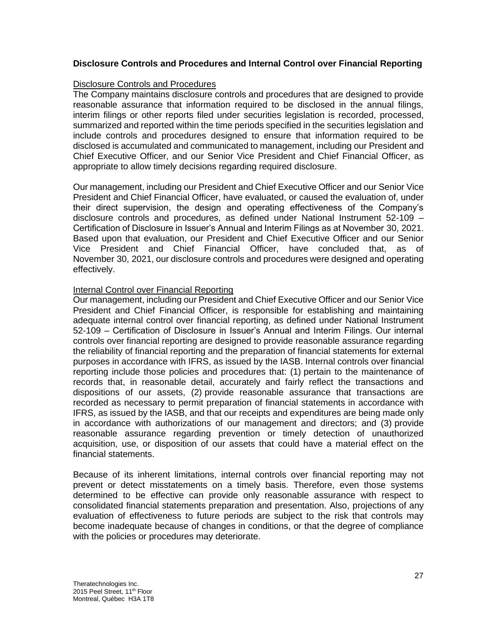# **Disclosure Controls and Procedures and Internal Control over Financial Reporting**

#### Disclosure Controls and Procedures

The Company maintains disclosure controls and procedures that are designed to provide reasonable assurance that information required to be disclosed in the annual filings, interim filings or other reports filed under securities legislation is recorded, processed, summarized and reported within the time periods specified in the securities legislation and include controls and procedures designed to ensure that information required to be disclosed is accumulated and communicated to management, including our President and Chief Executive Officer, and our Senior Vice President and Chief Financial Officer, as appropriate to allow timely decisions regarding required disclosure.

Our management, including our President and Chief Executive Officer and our Senior Vice President and Chief Financial Officer, have evaluated, or caused the evaluation of, under their direct supervision, the design and operating effectiveness of the Company's disclosure controls and procedures, as defined under National Instrument 52-109 – Certification of Disclosure in Issuer's Annual and Interim Filings as at November 30, 2021. Based upon that evaluation, our President and Chief Executive Officer and our Senior Vice President and Chief Financial Officer, have concluded that, as of November 30, 2021, our disclosure controls and procedures were designed and operating effectively.

### Internal Control over Financial Reporting

Our management, including our President and Chief Executive Officer and our Senior Vice President and Chief Financial Officer, is responsible for establishing and maintaining adequate internal control over financial reporting, as defined under National Instrument 52-109 – Certification of Disclosure in Issuer's Annual and Interim Filings. Our internal controls over financial reporting are designed to provide reasonable assurance regarding the reliability of financial reporting and the preparation of financial statements for external purposes in accordance with IFRS, as issued by the IASB. Internal controls over financial reporting include those policies and procedures that: (1) pertain to the maintenance of records that, in reasonable detail, accurately and fairly reflect the transactions and dispositions of our assets, (2) provide reasonable assurance that transactions are recorded as necessary to permit preparation of financial statements in accordance with IFRS, as issued by the IASB, and that our receipts and expenditures are being made only in accordance with authorizations of our management and directors; and (3) provide reasonable assurance regarding prevention or timely detection of unauthorized acquisition, use, or disposition of our assets that could have a material effect on the financial statements.

Because of its inherent limitations, internal controls over financial reporting may not prevent or detect misstatements on a timely basis. Therefore, even those systems determined to be effective can provide only reasonable assurance with respect to consolidated financial statements preparation and presentation. Also, projections of any evaluation of effectiveness to future periods are subject to the risk that controls may become inadequate because of changes in conditions, or that the degree of compliance with the policies or procedures may deteriorate.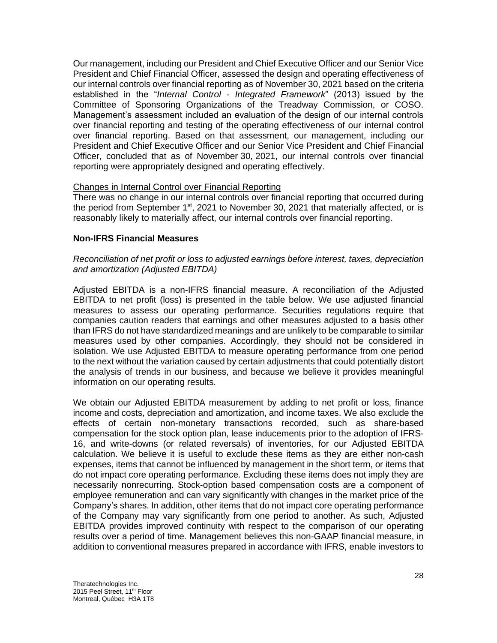Our management, including our President and Chief Executive Officer and our Senior Vice President and Chief Financial Officer, assessed the design and operating effectiveness of our internal controls over financial reporting as of November 30, 2021 based on the criteria established in the "*Internal Control - Integrated Framework*" (2013) issued by the Committee of Sponsoring Organizations of the Treadway Commission, or COSO. Management's assessment included an evaluation of the design of our internal controls over financial reporting and testing of the operating effectiveness of our internal control over financial reporting. Based on that assessment, our management, including our President and Chief Executive Officer and our Senior Vice President and Chief Financial Officer, concluded that as of November 30, 2021, our internal controls over financial reporting were appropriately designed and operating effectively.

# Changes in Internal Control over Financial Reporting

There was no change in our internal controls over financial reporting that occurred during the period from September 1<sup>st</sup>, 2021 to November 30, 2021 that materially affected, or is reasonably likely to materially affect, our internal controls over financial reporting.

### **Non-IFRS Financial Measures**

*Reconciliation of net profit or loss to adjusted earnings before interest, taxes, depreciation and amortization (Adjusted EBITDA)*

Adjusted EBITDA is a non-IFRS financial measure. A reconciliation of the Adjusted EBITDA to net profit (loss) is presented in the table below. We use adjusted financial measures to assess our operating performance. Securities regulations require that companies caution readers that earnings and other measures adjusted to a basis other than IFRS do not have standardized meanings and are unlikely to be comparable to similar measures used by other companies. Accordingly, they should not be considered in isolation. We use Adjusted EBITDA to measure operating performance from one period to the next without the variation caused by certain adjustments that could potentially distort the analysis of trends in our business, and because we believe it provides meaningful information on our operating results.

We obtain our Adjusted EBITDA measurement by adding to net profit or loss, finance income and costs, depreciation and amortization, and income taxes. We also exclude the effects of certain non-monetary transactions recorded, such as share-based compensation for the stock option plan, lease inducements prior to the adoption of IFRS-16, and write-downs (or related reversals) of inventories, for our Adjusted EBITDA calculation. We believe it is useful to exclude these items as they are either non-cash expenses, items that cannot be influenced by management in the short term, or items that do not impact core operating performance. Excluding these items does not imply they are necessarily nonrecurring. Stock-option based compensation costs are a component of employee remuneration and can vary significantly with changes in the market price of the Company's shares. In addition, other items that do not impact core operating performance of the Company may vary significantly from one period to another. As such, Adjusted EBITDA provides improved continuity with respect to the comparison of our operating results over a period of time. Management believes this non-GAAP financial measure, in addition to conventional measures prepared in accordance with IFRS, enable investors to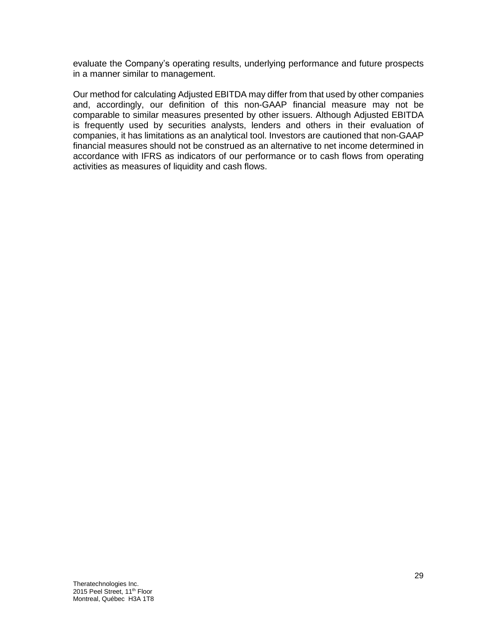evaluate the Company's operating results, underlying performance and future prospects in a manner similar to management.

Our method for calculating Adjusted EBITDA may differ from that used by other companies and, accordingly, our definition of this non-GAAP financial measure may not be comparable to similar measures presented by other issuers. Although Adjusted EBITDA is frequently used by securities analysts, lenders and others in their evaluation of companies, it has limitations as an analytical tool. Investors are cautioned that non-GAAP financial measures should not be construed as an alternative to net income determined in accordance with IFRS as indicators of our performance or to cash flows from operating activities as measures of liquidity and cash flows.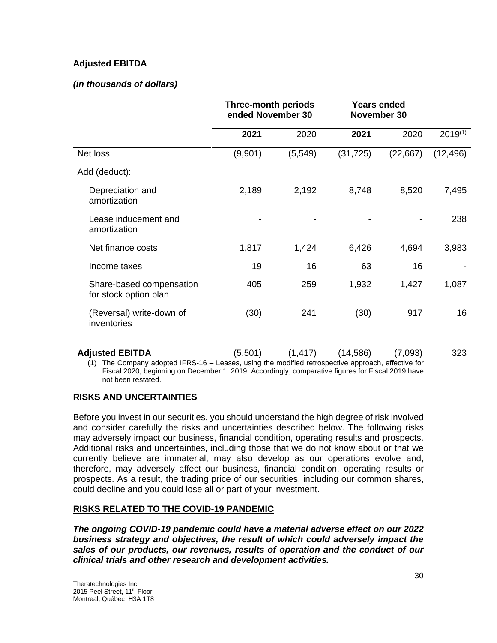# **Adjusted EBITDA**

# *(in thousands of dollars)*

|                                                   | <b>Three-month periods</b><br>ended November 30 |          | Years ended<br>November 30 |           |              |
|---------------------------------------------------|-------------------------------------------------|----------|----------------------------|-----------|--------------|
|                                                   | 2021                                            | 2020     | 2021                       | 2020      | $2019^{(1)}$ |
| Net loss                                          | (9,901)                                         | (5, 549) | (31, 725)                  | (22, 667) | (12, 496)    |
| Add (deduct):                                     |                                                 |          |                            |           |              |
| Depreciation and<br>amortization                  | 2,189                                           | 2,192    | 8,748                      | 8,520     | 7,495        |
| Lease inducement and<br>amortization              |                                                 |          |                            |           | 238          |
| Net finance costs                                 | 1,817                                           | 1,424    | 6,426                      | 4,694     | 3,983        |
| Income taxes                                      | 19                                              | 16       | 63                         | 16        |              |
| Share-based compensation<br>for stock option plan | 405                                             | 259      | 1,932                      | 1,427     | 1,087        |
| (Reversal) write-down of<br>inventories           | (30)                                            | 241      | (30)                       | 917       | 16           |
|                                                   |                                                 |          |                            |           |              |

**Adjusted EBITDA** (5,501) (1,417) (14,586) (7,093) 323 (1) The Company adopted IFRS-16 – Leases, using the modified retrospective approach, effective for Fiscal 2020, beginning on December 1, 2019. Accordingly, comparative figures for Fiscal 2019 have not been restated.

# **RISKS AND UNCERTAINTIES**

Before you invest in our securities, you should understand the high degree of risk involved and consider carefully the risks and uncertainties described below. The following risks may adversely impact our business, financial condition, operating results and prospects. Additional risks and uncertainties, including those that we do not know about or that we currently believe are immaterial, may also develop as our operations evolve and, therefore, may adversely affect our business, financial condition, operating results or prospects. As a result, the trading price of our securities, including our common shares, could decline and you could lose all or part of your investment.

# **RISKS RELATED TO THE COVID-19 PANDEMIC**

*The ongoing COVID-19 pandemic could have a material adverse effect on our 2022 business strategy and objectives, the result of which could adversely impact the sales of our products, our revenues, results of operation and the conduct of our clinical trials and other research and development activities.*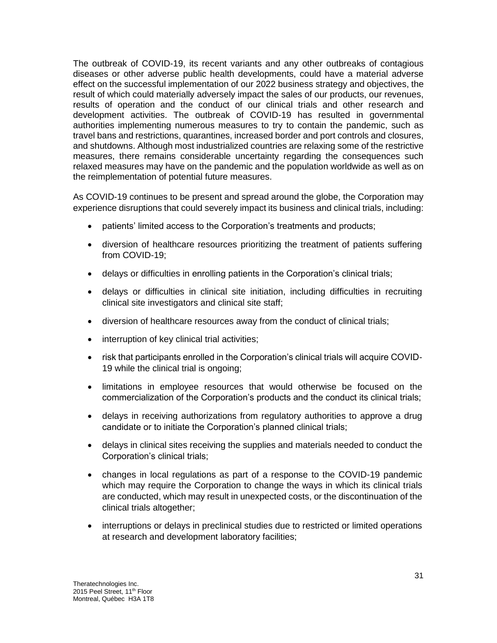The outbreak of COVID-19, its recent variants and any other outbreaks of contagious diseases or other adverse public health developments, could have a material adverse effect on the successful implementation of our 2022 business strategy and objectives, the result of which could materially adversely impact the sales of our products, our revenues, results of operation and the conduct of our clinical trials and other research and development activities. The outbreak of COVID-19 has resulted in governmental authorities implementing numerous measures to try to contain the pandemic, such as travel bans and restrictions, quarantines, increased border and port controls and closures, and shutdowns. Although most industrialized countries are relaxing some of the restrictive measures, there remains considerable uncertainty regarding the consequences such relaxed measures may have on the pandemic and the population worldwide as well as on the reimplementation of potential future measures.

As COVID-19 continues to be present and spread around the globe, the Corporation may experience disruptions that could severely impact its business and clinical trials, including:

- patients' limited access to the Corporation's treatments and products;
- diversion of healthcare resources prioritizing the treatment of patients suffering from COVID-19;
- delays or difficulties in enrolling patients in the Corporation's clinical trials;
- delays or difficulties in clinical site initiation, including difficulties in recruiting clinical site investigators and clinical site staff;
- diversion of healthcare resources away from the conduct of clinical trials;
- interruption of key clinical trial activities;
- risk that participants enrolled in the Corporation's clinical trials will acquire COVID-19 while the clinical trial is ongoing;
- limitations in employee resources that would otherwise be focused on the commercialization of the Corporation's products and the conduct its clinical trials;
- delays in receiving authorizations from regulatory authorities to approve a drug candidate or to initiate the Corporation's planned clinical trials;
- delays in clinical sites receiving the supplies and materials needed to conduct the Corporation's clinical trials;
- changes in local regulations as part of a response to the COVID-19 pandemic which may require the Corporation to change the ways in which its clinical trials are conducted, which may result in unexpected costs, or the discontinuation of the clinical trials altogether;
- interruptions or delays in preclinical studies due to restricted or limited operations at research and development laboratory facilities;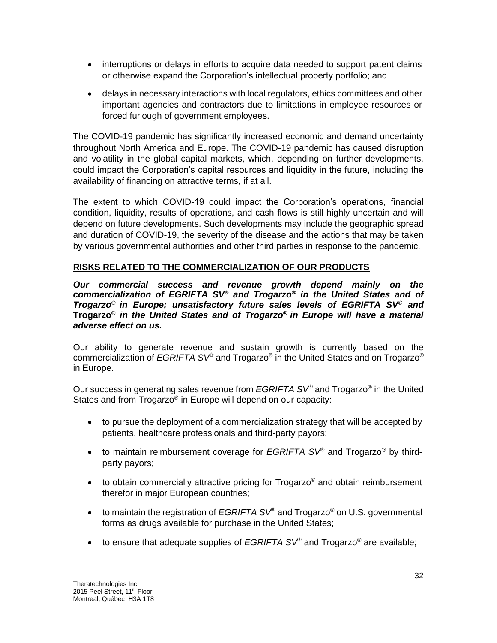- interruptions or delays in efforts to acquire data needed to support patent claims or otherwise expand the Corporation's intellectual property portfolio; and
- delays in necessary interactions with local regulators, ethics committees and other important agencies and contractors due to limitations in employee resources or forced furlough of government employees.

The COVID-19 pandemic has significantly increased economic and demand uncertainty throughout North America and Europe. The COVID-19 pandemic has caused disruption and volatility in the global capital markets, which, depending on further developments, could impact the Corporation's capital resources and liquidity in the future, including the availability of financing on attractive terms, if at all.

The extent to which COVID-19 could impact the Corporation's operations, financial condition, liquidity, results of operations, and cash flows is still highly uncertain and will depend on future developments. Such developments may include the geographic spread and duration of COVID-19, the severity of the disease and the actions that may be taken by various governmental authorities and other third parties in response to the pandemic.

# **RISKS RELATED TO THE COMMERCIALIZATION OF OUR PRODUCTS**

*Our commercial success and revenue growth depend mainly on the commercialization of EGRIFTA SV® and Trogarzo® in the United States and of Trogarzo® in Europe; unsatisfactory future sales levels of EGRIFTA SV® and* **Trogarzo®** *in the United States and of Trogarzo® in Europe will have a material adverse effect on us.* 

Our ability to generate revenue and sustain growth is currently based on the commercialization of *EGRIFTA SV®* and Trogarzo® in the United States and on Trogarzo® in Europe.

Our success in generating sales revenue from *EGRIFTA SV®* and Trogarzo® in the United States and from Trogarzo® in Europe will depend on our capacity:

- to pursue the deployment of a commercialization strategy that will be accepted by patients, healthcare professionals and third-party payors;
- to maintain reimbursement coverage for *EGRIFTA SV®* and Trogarzo® by thirdparty payors;
- to obtain commercially attractive pricing for Trogarzo® and obtain reimbursement therefor in major European countries;
- to maintain the registration of *EGRIFTA SV®* and Trogarzo® on U.S. governmental forms as drugs available for purchase in the United States;
- to ensure that adequate supplies of *EGRIFTA SV®* and Trogarzo® are available;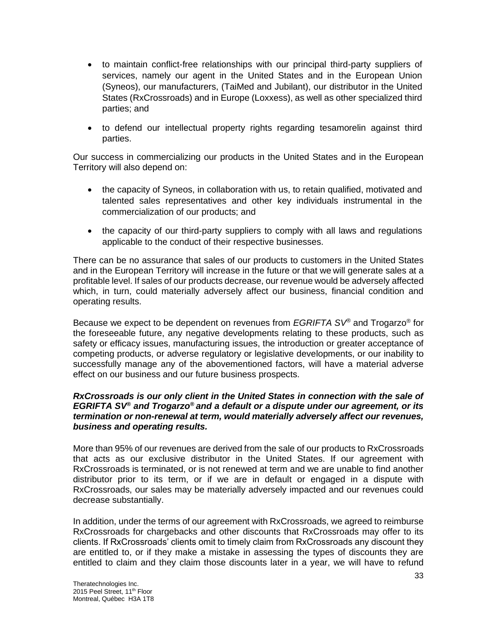- to maintain conflict-free relationships with our principal third-party suppliers of services, namely our agent in the United States and in the European Union (Syneos), our manufacturers, (TaiMed and Jubilant), our distributor in the United States (RxCrossroads) and in Europe (Loxxess), as well as other specialized third parties; and
- to defend our intellectual property rights regarding tesamorelin against third parties.

Our success in commercializing our products in the United States and in the European Territory will also depend on:

- the capacity of Syneos, in collaboration with us, to retain qualified, motivated and talented sales representatives and other key individuals instrumental in the commercialization of our products; and
- the capacity of our third-party suppliers to comply with all laws and regulations applicable to the conduct of their respective businesses.

There can be no assurance that sales of our products to customers in the United States and in the European Territory will increase in the future or that we will generate sales at a profitable level. If sales of our products decrease, our revenue would be adversely affected which, in turn, could materially adversely affect our business, financial condition and operating results.

Because we expect to be dependent on revenues from *EGRIFTA SV®* and Trogarzo® for the foreseeable future, any negative developments relating to these products, such as safety or efficacy issues, manufacturing issues, the introduction or greater acceptance of competing products, or adverse regulatory or legislative developments, or our inability to successfully manage any of the abovementioned factors, will have a material adverse effect on our business and our future business prospects.

### *RxCrossroads is our only client in the United States in connection with the sale of EGRIFTA SV® and Trogarzo® and a default or a dispute under our agreement, or its termination or non-renewal at term, would materially adversely affect our revenues, business and operating results.*

More than 95% of our revenues are derived from the sale of our products to RxCrossroads that acts as our exclusive distributor in the United States. If our agreement with RxCrossroads is terminated, or is not renewed at term and we are unable to find another distributor prior to its term, or if we are in default or engaged in a dispute with RxCrossroads, our sales may be materially adversely impacted and our revenues could decrease substantially.

In addition, under the terms of our agreement with RxCrossroads, we agreed to reimburse RxCrossroads for chargebacks and other discounts that RxCrossroads may offer to its clients. If RxCrossroads' clients omit to timely claim from RxCrossroads any discount they are entitled to, or if they make a mistake in assessing the types of discounts they are entitled to claim and they claim those discounts later in a year, we will have to refund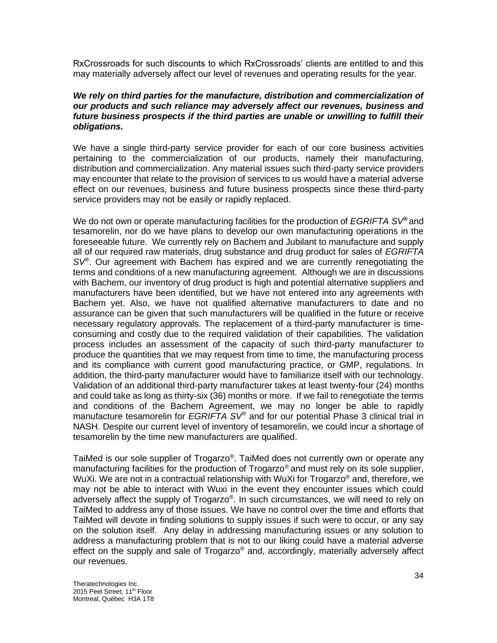RxCrossroads for such discounts to which RxCrossroads' clients are entitled to and this may materially adversely affect our level of revenues and operating results for the year.

### *We rely on third parties for the manufacture, distribution and commercialization of our products and such reliance may adversely affect our revenues, business and future business prospects if the third parties are unable or unwilling to fulfill their obligations.*

We have a single third-party service provider for each of our core business activities pertaining to the commercialization of our products, namely their manufacturing, distribution and commercialization. Any material issues such third-party service providers may encounter that relate to the provision of services to us would have a material adverse effect on our revenues, business and future business prospects since these third-party service providers may not be easily or rapidly replaced.

We do not own or operate manufacturing facilities for the production of *EGRIFTA SV®* and tesamorelin, nor do we have plans to develop our own manufacturing operations in the foreseeable future. We currently rely on Bachem and Jubilant to manufacture and supply all of our required raw materials, drug substance and drug product for sales of *EGRIFTA SV®* . Our agreement with Bachem has expired and we are currently renegotiating the terms and conditions of a new manufacturing agreement. Although we are in discussions with Bachem, our inventory of drug product is high and potential alternative suppliers and manufacturers have been identified, but we have not entered into any agreements with Bachem yet. Also, we have not qualified alternative manufacturers to date and no assurance can be given that such manufacturers will be qualified in the future or receive necessary regulatory approvals. The replacement of a third-party manufacturer is timeconsuming and costly due to the required validation of their capabilities. The validation process includes an assessment of the capacity of such third-party manufacturer to produce the quantities that we may request from time to time, the manufacturing process and its compliance with current good manufacturing practice, or GMP, regulations. In addition, the third-party manufacturer would have to familiarize itself with our technology. Validation of an additional third-party manufacturer takes at least twenty-four (24) months and could take as long as thirty-six (36) months or more. If we fail to renegotiate the terms and conditions of the Bachem Agreement, we may no longer be able to rapidly manufacture tesamorelin for *EGRIFTA SV®* and for our potential Phase 3 clinical trial in NASH. Despite our current level of inventory of tesamorelin, we could incur a shortage of tesamorelin by the time new manufacturers are qualified.

TaiMed is our sole supplier of Trogarzo®. TaiMed does not currently own or operate any manufacturing facilities for the production of Trogarzo<sup>®</sup> and must rely on its sole supplier, WuXi. We are not in a contractual relationship with WuXi for Trogarzo<sup>®</sup> and, therefore, we may not be able to interact with Wuxi in the event they encounter issues which could adversely affect the supply of Trogarzo®. In such circumstances, we will need to rely on TaiMed to address any of those issues. We have no control over the time and efforts that TaiMed will devote in finding solutions to supply issues if such were to occur, or any say on the solution itself. Any delay in addressing manufacturing issues or any solution to address a manufacturing problem that is not to our liking could have a material adverse effect on the supply and sale of Trogarzo® and, accordingly, materially adversely affect our revenues.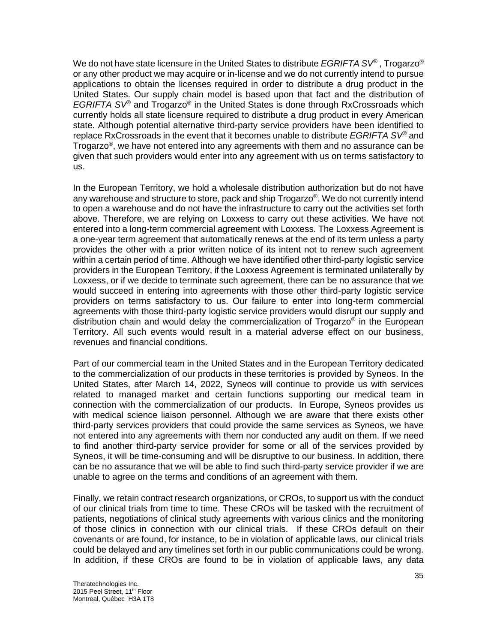We do not have state licensure in the United States to distribute *EGRIFTA SV®* , Trogarzo® or any other product we may acquire or in-license and we do not currently intend to pursue applications to obtain the licenses required in order to distribute a drug product in the United States. Our supply chain model is based upon that fact and the distribution of *EGRIFTA SV®* and Trogarzo® in the United States is done through RxCrossroads which currently holds all state licensure required to distribute a drug product in every American state. Although potential alternative third-party service providers have been identified to replace RxCrossroads in the event that it becomes unable to distribute *EGRIFTA SV®* and Trogarzo® , we have not entered into any agreements with them and no assurance can be given that such providers would enter into any agreement with us on terms satisfactory to us.

In the European Territory, we hold a wholesale distribution authorization but do not have any warehouse and structure to store, pack and ship Trogarzo®. We do not currently intend to open a warehouse and do not have the infrastructure to carry out the activities set forth above. Therefore, we are relying on Loxxess to carry out these activities. We have not entered into a long-term commercial agreement with Loxxess. The Loxxess Agreement is a one-year term agreement that automatically renews at the end of its term unless a party provides the other with a prior written notice of its intent not to renew such agreement within a certain period of time. Although we have identified other third-party logistic service providers in the European Territory, if the Loxxess Agreement is terminated unilaterally by Loxxess, or if we decide to terminate such agreement, there can be no assurance that we would succeed in entering into agreements with those other third-party logistic service providers on terms satisfactory to us. Our failure to enter into long-term commercial agreements with those third-party logistic service providers would disrupt our supply and distribution chain and would delay the commercialization of Trogarzo® in the European Territory. All such events would result in a material adverse effect on our business, revenues and financial conditions.

Part of our commercial team in the United States and in the European Territory dedicated to the commercialization of our products in these territories is provided by Syneos. In the United States, after March 14, 2022, Syneos will continue to provide us with services related to managed market and certain functions supporting our medical team in connection with the commercialization of our products. In Europe, Syneos provides us with medical science liaison personnel. Although we are aware that there exists other third-party services providers that could provide the same services as Syneos, we have not entered into any agreements with them nor conducted any audit on them. If we need to find another third-party service provider for some or all of the services provided by Syneos, it will be time-consuming and will be disruptive to our business. In addition, there can be no assurance that we will be able to find such third-party service provider if we are unable to agree on the terms and conditions of an agreement with them.

Finally, we retain contract research organizations, or CROs, to support us with the conduct of our clinical trials from time to time. These CROs will be tasked with the recruitment of patients, negotiations of clinical study agreements with various clinics and the monitoring of those clinics in connection with our clinical trials. If these CROs default on their covenants or are found, for instance, to be in violation of applicable laws, our clinical trials could be delayed and any timelines set forth in our public communications could be wrong. In addition, if these CROs are found to be in violation of applicable laws, any data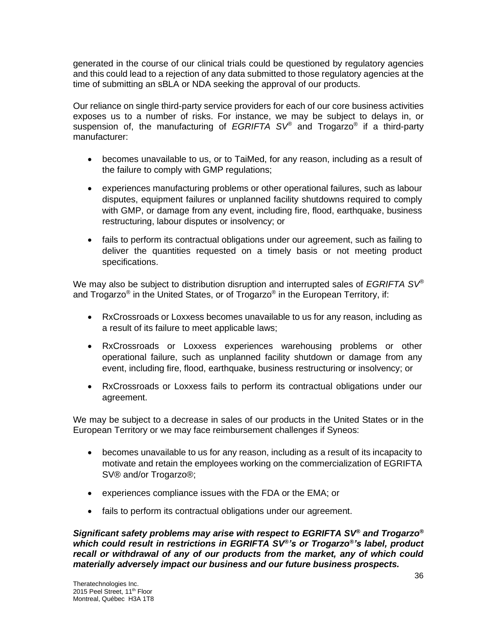generated in the course of our clinical trials could be questioned by regulatory agencies and this could lead to a rejection of any data submitted to those regulatory agencies at the time of submitting an sBLA or NDA seeking the approval of our products.

Our reliance on single third-party service providers for each of our core business activities exposes us to a number of risks. For instance, we may be subject to delays in, or suspension of, the manufacturing of *EGRIFTA SV®* and Trogarzo® if a third-party manufacturer:

- becomes unavailable to us, or to TaiMed, for any reason, including as a result of the failure to comply with GMP regulations;
- experiences manufacturing problems or other operational failures, such as labour disputes, equipment failures or unplanned facility shutdowns required to comply with GMP, or damage from any event, including fire, flood, earthquake, business restructuring, labour disputes or insolvency; or
- fails to perform its contractual obligations under our agreement, such as failing to deliver the quantities requested on a timely basis or not meeting product specifications.

We may also be subject to distribution disruption and interrupted sales of *EGRIFTA SV®* and Trogarzo® in the United States, or of Trogarzo® in the European Territory, if:

- RxCrossroads or Loxxess becomes unavailable to us for any reason, including as a result of its failure to meet applicable laws;
- RxCrossroads or Loxxess experiences warehousing problems or other operational failure, such as unplanned facility shutdown or damage from any event, including fire, flood, earthquake, business restructuring or insolvency; or
- RxCrossroads or Loxxess fails to perform its contractual obligations under our agreement.

We may be subject to a decrease in sales of our products in the United States or in the European Territory or we may face reimbursement challenges if Syneos:

- becomes unavailable to us for any reason, including as a result of its incapacity to motivate and retain the employees working on the commercialization of EGRIFTA SV® and/or Trogarzo®;
- experiences compliance issues with the FDA or the EMA; or
- fails to perform its contractual obligations under our agreement.

*Significant safety problems may arise with respect to EGRIFTA SV® and Trogarzo® which could result in restrictions in EGRIFTA SV® 's or Trogarzo® 's label, product recall or withdrawal of any of our products from the market, any of which could materially adversely impact our business and our future business prospects.*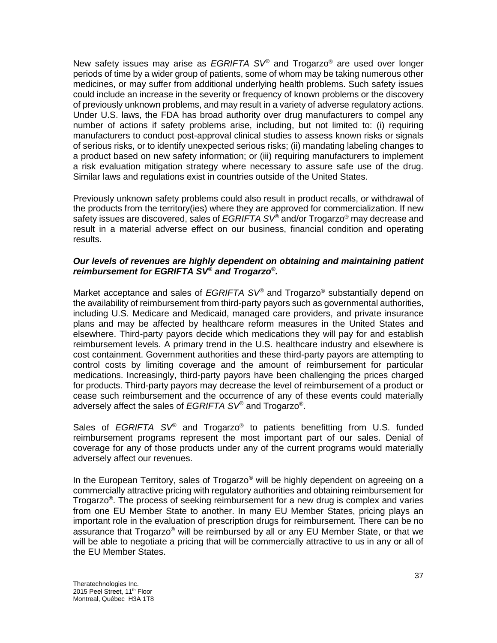New safety issues may arise as *EGRIFTA SV®* and Trogarzo® are used over longer periods of time by a wider group of patients, some of whom may be taking numerous other medicines, or may suffer from additional underlying health problems. Such safety issues could include an increase in the severity or frequency of known problems or the discovery of previously unknown problems, and may result in a variety of adverse regulatory actions. Under U.S. laws, the FDA has broad authority over drug manufacturers to compel any number of actions if safety problems arise, including, but not limited to: (i) requiring manufacturers to conduct post-approval clinical studies to assess known risks or signals of serious risks, or to identify unexpected serious risks; (ii) mandating labeling changes to a product based on new safety information; or (iii) requiring manufacturers to implement a risk evaluation mitigation strategy where necessary to assure safe use of the drug. Similar laws and regulations exist in countries outside of the United States.

Previously unknown safety problems could also result in product recalls, or withdrawal of the products from the territory(ies) where they are approved for commercialization. If new safety issues are discovered, sales of *EGRIFTA SV®* and/or Trogarzo® may decrease and result in a material adverse effect on our business, financial condition and operating results.

### *Our levels of revenues are highly dependent on obtaining and maintaining patient reimbursement for EGRIFTA SV® and Trogarzo® .*

Market acceptance and sales of *EGRIFTA SV®* and Trogarzo® substantially depend on the availability of reimbursement from third-party payors such as governmental authorities, including U.S. Medicare and Medicaid, managed care providers, and private insurance plans and may be affected by healthcare reform measures in the United States and elsewhere. Third-party payors decide which medications they will pay for and establish reimbursement levels. A primary trend in the U.S. healthcare industry and elsewhere is cost containment. Government authorities and these third-party payors are attempting to control costs by limiting coverage and the amount of reimbursement for particular medications. Increasingly, third-party payors have been challenging the prices charged for products. Third-party payors may decrease the level of reimbursement of a product or cease such reimbursement and the occurrence of any of these events could materially adversely affect the sales of *EGRIFTA SV®* and Trogarzo® .

Sales of *EGRIFTA SV®* and Trogarzo® to patients benefitting from U.S. funded reimbursement programs represent the most important part of our sales. Denial of coverage for any of those products under any of the current programs would materially adversely affect our revenues.

In the European Territory, sales of Trogarzo<sup>®</sup> will be highly dependent on agreeing on a commercially attractive pricing with regulatory authorities and obtaining reimbursement for Trogarzo® . The process of seeking reimbursement for a new drug is complex and varies from one EU Member State to another. In many EU Member States, pricing plays an important role in the evaluation of prescription drugs for reimbursement. There can be no assurance that Trogarzo<sup>®</sup> will be reimbursed by all or any EU Member State, or that we will be able to negotiate a pricing that will be commercially attractive to us in any or all of the EU Member States.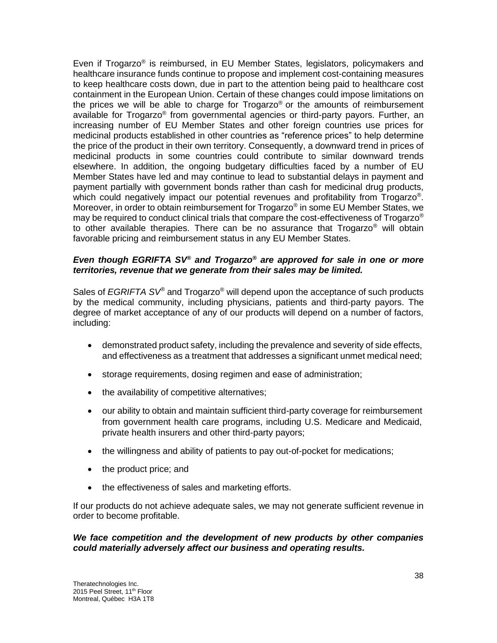Even if Trogarzo® is reimbursed, in EU Member States, legislators, policymakers and healthcare insurance funds continue to propose and implement cost-containing measures to keep healthcare costs down, due in part to the attention being paid to healthcare cost containment in the European Union. Certain of these changes could impose limitations on the prices we will be able to charge for Trogarzo<sup>®</sup> or the amounts of reimbursement available for Trogarzo® from governmental agencies or third-party payors. Further, an increasing number of EU Member States and other foreign countries use prices for medicinal products established in other countries as "reference prices" to help determine the price of the product in their own territory. Consequently, a downward trend in prices of medicinal products in some countries could contribute to similar downward trends elsewhere. In addition, the ongoing budgetary difficulties faced by a number of EU Member States have led and may continue to lead to substantial delays in payment and payment partially with government bonds rather than cash for medicinal drug products, which could negatively impact our potential revenues and profitability from Trogarzo®. Moreover, in order to obtain reimbursement for Trogarzo® in some EU Member States, we may be required to conduct clinical trials that compare the cost-effectiveness of Trogarzo<sup>®</sup> to other available therapies. There can be no assurance that Trogarzo<sup>®</sup> will obtain favorable pricing and reimbursement status in any EU Member States.

# *Even though EGRIFTA SV® and Trogarzo® are approved for sale in one or more territories, revenue that we generate from their sales may be limited.*

Sales of *EGRIFTA SV®* and Trogarzo® will depend upon the acceptance of such products by the medical community, including physicians, patients and third-party payors. The degree of market acceptance of any of our products will depend on a number of factors, including:

- demonstrated product safety, including the prevalence and severity of side effects, and effectiveness as a treatment that addresses a significant unmet medical need;
- storage requirements, dosing regimen and ease of administration;
- the availability of competitive alternatives;
- our ability to obtain and maintain sufficient third-party coverage for reimbursement from government health care programs, including U.S. Medicare and Medicaid, private health insurers and other third-party payors;
- the willingness and ability of patients to pay out-of-pocket for medications;
- the product price; and
- the effectiveness of sales and marketing efforts.

If our products do not achieve adequate sales, we may not generate sufficient revenue in order to become profitable.

# *We face competition and the development of new products by other companies could materially adversely affect our business and operating results.*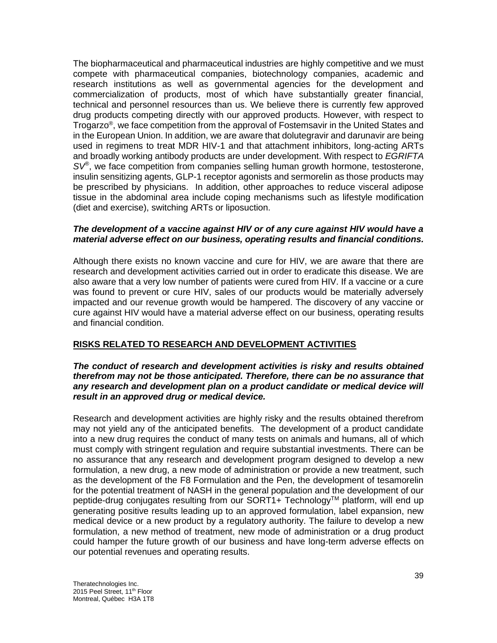The biopharmaceutical and pharmaceutical industries are highly competitive and we must compete with pharmaceutical companies, biotechnology companies, academic and research institutions as well as governmental agencies for the development and commercialization of products, most of which have substantially greater financial, technical and personnel resources than us. We believe there is currently few approved drug products competing directly with our approved products. However, with respect to Trogarzo® , we face competition from the approval of Fostemsavir in the United States and in the European Union. In addition, we are aware that dolutegravir and darunavir are being used in regimens to treat MDR HIV-1 and that attachment inhibitors, long-acting ARTs and broadly working antibody products are under development. With respect to *EGRIFTA SV®* , we face competition from companies selling human growth hormone, testosterone, insulin sensitizing agents, GLP-1 receptor agonists and sermorelin as those products may be prescribed by physicians. In addition, other approaches to reduce visceral adipose tissue in the abdominal area include coping mechanisms such as lifestyle modification (diet and exercise), switching ARTs or liposuction.

### *The development of a vaccine against HIV or of any cure against HIV would have a material adverse effect on our business, operating results and financial conditions.*

Although there exists no known vaccine and cure for HIV, we are aware that there are research and development activities carried out in order to eradicate this disease. We are also aware that a very low number of patients were cured from HIV. If a vaccine or a cure was found to prevent or cure HIV, sales of our products would be materially adversely impacted and our revenue growth would be hampered. The discovery of any vaccine or cure against HIV would have a material adverse effect on our business, operating results and financial condition.

# **RISKS RELATED TO RESEARCH AND DEVELOPMENT ACTIVITIES**

### *The conduct of research and development activities is risky and results obtained therefrom may not be those anticipated. Therefore, there can be no assurance that any research and development plan on a product candidate or medical device will result in an approved drug or medical device.*

Research and development activities are highly risky and the results obtained therefrom may not yield any of the anticipated benefits. The development of a product candidate into a new drug requires the conduct of many tests on animals and humans, all of which must comply with stringent regulation and require substantial investments. There can be no assurance that any research and development program designed to develop a new formulation, a new drug, a new mode of administration or provide a new treatment, such as the development of the F8 Formulation and the Pen, the development of tesamorelin for the potential treatment of NASH in the general population and the development of our peptide-drug conjugates resulting from our SORT1+ Technology™ platform, will end up generating positive results leading up to an approved formulation, label expansion, new medical device or a new product by a regulatory authority. The failure to develop a new formulation, a new method of treatment, new mode of administration or a drug product could hamper the future growth of our business and have long-term adverse effects on our potential revenues and operating results.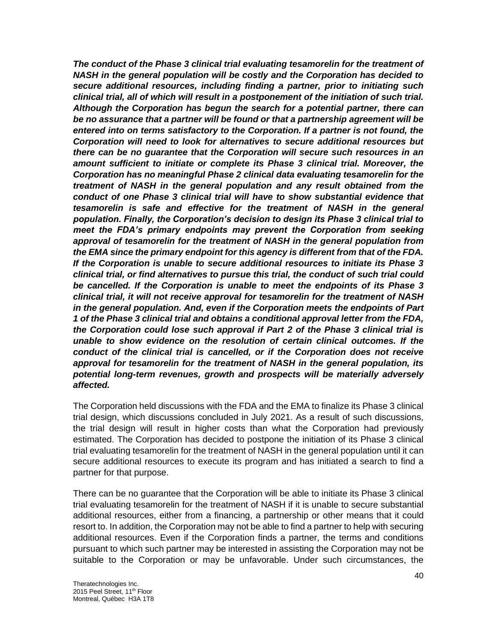*The conduct of the Phase 3 clinical trial evaluating tesamorelin for the treatment of NASH in the general population will be costly and the Corporation has decided to secure additional resources, including finding a partner, prior to initiating such clinical trial, all of which will result in a postponement of the initiation of such trial. Although the Corporation has begun the search for a potential partner, there can be no assurance that a partner will be found or that a partnership agreement will be entered into on terms satisfactory to the Corporation. If a partner is not found, the Corporation will need to look for alternatives to secure additional resources but there can be no guarantee that the Corporation will secure such resources in an amount sufficient to initiate or complete its Phase 3 clinical trial. Moreover, the Corporation has no meaningful Phase 2 clinical data evaluating tesamorelin for the treatment of NASH in the general population and any result obtained from the conduct of one Phase 3 clinical trial will have to show substantial evidence that tesamorelin is safe and effective for the treatment of NASH in the general population. Finally, the Corporation's decision to design its Phase 3 clinical trial to meet the FDA's primary endpoints may prevent the Corporation from seeking approval of tesamorelin for the treatment of NASH in the general population from the EMA since the primary endpoint for this agency is different from that of the FDA. If the Corporation is unable to secure additional resources to initiate its Phase 3 clinical trial, or find alternatives to pursue this trial, the conduct of such trial could be cancelled. If the Corporation is unable to meet the endpoints of its Phase 3 clinical trial, it will not receive approval for tesamorelin for the treatment of NASH in the general population. And, even if the Corporation meets the endpoints of Part 1 of the Phase 3 clinical trial and obtains a conditional approval letter from the FDA, the Corporation could lose such approval if Part 2 of the Phase 3 clinical trial is unable to show evidence on the resolution of certain clinical outcomes. If the conduct of the clinical trial is cancelled, or if the Corporation does not receive approval for tesamorelin for the treatment of NASH in the general population, its potential long-term revenues, growth and prospects will be materially adversely affected.*

The Corporation held discussions with the FDA and the EMA to finalize its Phase 3 clinical trial design, which discussions concluded in July 2021. As a result of such discussions, the trial design will result in higher costs than what the Corporation had previously estimated. The Corporation has decided to postpone the initiation of its Phase 3 clinical trial evaluating tesamorelin for the treatment of NASH in the general population until it can secure additional resources to execute its program and has initiated a search to find a partner for that purpose.

There can be no guarantee that the Corporation will be able to initiate its Phase 3 clinical trial evaluating tesamorelin for the treatment of NASH if it is unable to secure substantial additional resources, either from a financing, a partnership or other means that it could resort to. In addition, the Corporation may not be able to find a partner to help with securing additional resources. Even if the Corporation finds a partner, the terms and conditions pursuant to which such partner may be interested in assisting the Corporation may not be suitable to the Corporation or may be unfavorable. Under such circumstances, the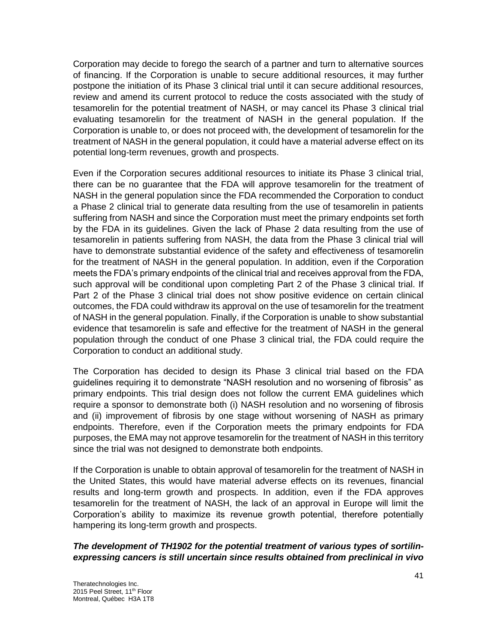Corporation may decide to forego the search of a partner and turn to alternative sources of financing. If the Corporation is unable to secure additional resources, it may further postpone the initiation of its Phase 3 clinical trial until it can secure additional resources, review and amend its current protocol to reduce the costs associated with the study of tesamorelin for the potential treatment of NASH, or may cancel its Phase 3 clinical trial evaluating tesamorelin for the treatment of NASH in the general population. If the Corporation is unable to, or does not proceed with, the development of tesamorelin for the treatment of NASH in the general population, it could have a material adverse effect on its potential long-term revenues, growth and prospects.

Even if the Corporation secures additional resources to initiate its Phase 3 clinical trial, there can be no guarantee that the FDA will approve tesamorelin for the treatment of NASH in the general population since the FDA recommended the Corporation to conduct a Phase 2 clinical trial to generate data resulting from the use of tesamorelin in patients suffering from NASH and since the Corporation must meet the primary endpoints set forth by the FDA in its guidelines. Given the lack of Phase 2 data resulting from the use of tesamorelin in patients suffering from NASH, the data from the Phase 3 clinical trial will have to demonstrate substantial evidence of the safety and effectiveness of tesamorelin for the treatment of NASH in the general population. In addition, even if the Corporation meets the FDA's primary endpoints of the clinical trial and receives approval from the FDA, such approval will be conditional upon completing Part 2 of the Phase 3 clinical trial. If Part 2 of the Phase 3 clinical trial does not show positive evidence on certain clinical outcomes, the FDA could withdraw its approval on the use of tesamorelin for the treatment of NASH in the general population. Finally, if the Corporation is unable to show substantial evidence that tesamorelin is safe and effective for the treatment of NASH in the general population through the conduct of one Phase 3 clinical trial, the FDA could require the Corporation to conduct an additional study.

The Corporation has decided to design its Phase 3 clinical trial based on the FDA guidelines requiring it to demonstrate "NASH resolution and no worsening of fibrosis" as primary endpoints. This trial design does not follow the current EMA guidelines which require a sponsor to demonstrate both (i) NASH resolution and no worsening of fibrosis and (ii) improvement of fibrosis by one stage without worsening of NASH as primary endpoints. Therefore, even if the Corporation meets the primary endpoints for FDA purposes, the EMA may not approve tesamorelin for the treatment of NASH in this territory since the trial was not designed to demonstrate both endpoints.

If the Corporation is unable to obtain approval of tesamorelin for the treatment of NASH in the United States, this would have material adverse effects on its revenues, financial results and long-term growth and prospects. In addition, even if the FDA approves tesamorelin for the treatment of NASH, the lack of an approval in Europe will limit the Corporation's ability to maximize its revenue growth potential, therefore potentially hampering its long-term growth and prospects.

*The development of TH1902 for the potential treatment of various types of sortilinexpressing cancers is still uncertain since results obtained from preclinical in vivo*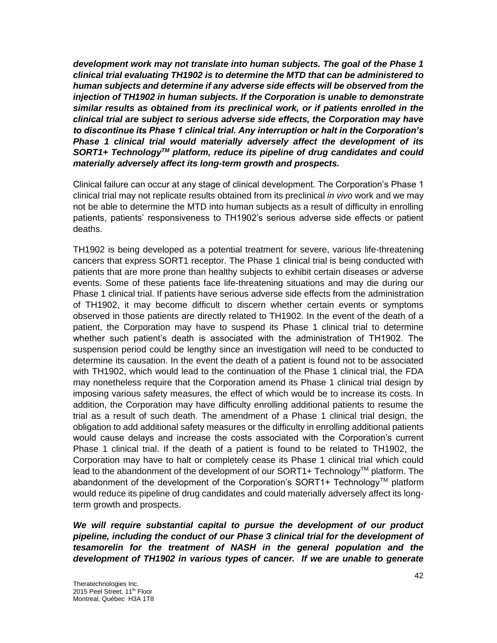*development work may not translate into human subjects. The goal of the Phase 1 clinical trial evaluating TH1902 is to determine the MTD that can be administered to human subjects and determine if any adverse side effects will be observed from the injection of TH1902 in human subjects. If the Corporation is unable to demonstrate similar results as obtained from its preclinical work, or if patients enrolled in the clinical trial are subject to serious adverse side effects, the Corporation may have to discontinue its Phase 1 clinical trial. Any interruption or halt in the Corporation's Phase 1 clinical trial would materially adversely affect the development of its SORT1+ TechnologyTM platform, reduce its pipeline of drug candidates and could materially adversely affect its long-term growth and prospects.*

Clinical failure can occur at any stage of clinical development. The Corporation's Phase 1 clinical trial may not replicate results obtained from its preclinical *in vivo* work and we may not be able to determine the MTD into human subjects as a result of difficulty in enrolling patients, patients' responsiveness to TH1902's serious adverse side effects or patient deaths.

TH1902 is being developed as a potential treatment for severe, various life-threatening cancers that express SORT1 receptor. The Phase 1 clinical trial is being conducted with patients that are more prone than healthy subjects to exhibit certain diseases or adverse events. Some of these patients face life-threatening situations and may die during our Phase 1 clinical trial. If patients have serious adverse side effects from the administration of TH1902, it may become difficult to discern whether certain events or symptoms observed in those patients are directly related to TH1902. In the event of the death of a patient, the Corporation may have to suspend its Phase 1 clinical trial to determine whether such patient's death is associated with the administration of TH1902. The suspension period could be lengthy since an investigation will need to be conducted to determine its causation. In the event the death of a patient is found not to be associated with TH1902, which would lead to the continuation of the Phase 1 clinical trial, the FDA may nonetheless require that the Corporation amend its Phase 1 clinical trial design by imposing various safety measures, the effect of which would be to increase its costs. In addition, the Corporation may have difficulty enrolling additional patients to resume the trial as a result of such death. The amendment of a Phase 1 clinical trial design, the obligation to add additional safety measures or the difficulty in enrolling additional patients would cause delays and increase the costs associated with the Corporation's current Phase 1 clinical trial. If the death of a patient is found to be related to TH1902, the Corporation may have to halt or completely cease its Phase 1 clinical trial which could lead to the abandonment of the development of our SORT1+ Technology<sup>TM</sup> platform. The abandonment of the development of the Corporation's SORT1+ Technology™ platform would reduce its pipeline of drug candidates and could materially adversely affect its longterm growth and prospects.

*We will require substantial capital to pursue the development of our product pipeline, including the conduct of our Phase 3 clinical trial for the development of tesamorelin for the treatment of NASH in the general population and the development of TH1902 in various types of cancer. If we are unable to generate*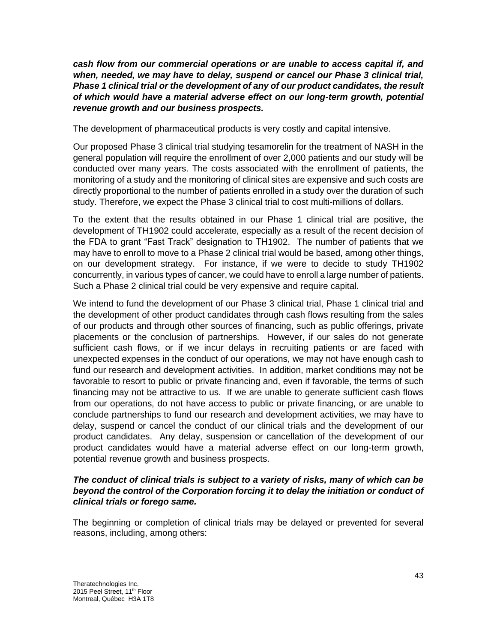*cash flow from our commercial operations or are unable to access capital if, and when, needed, we may have to delay, suspend or cancel our Phase 3 clinical trial, Phase 1 clinical trial or the development of any of our product candidates, the result of which would have a material adverse effect on our long-term growth, potential revenue growth and our business prospects.*

The development of pharmaceutical products is very costly and capital intensive.

Our proposed Phase 3 clinical trial studying tesamorelin for the treatment of NASH in the general population will require the enrollment of over 2,000 patients and our study will be conducted over many years. The costs associated with the enrollment of patients, the monitoring of a study and the monitoring of clinical sites are expensive and such costs are directly proportional to the number of patients enrolled in a study over the duration of such study. Therefore, we expect the Phase 3 clinical trial to cost multi-millions of dollars.

To the extent that the results obtained in our Phase 1 clinical trial are positive, the development of TH1902 could accelerate, especially as a result of the recent decision of the FDA to grant "Fast Track" designation to TH1902. The number of patients that we may have to enroll to move to a Phase 2 clinical trial would be based, among other things, on our development strategy. For instance, if we were to decide to study TH1902 concurrently, in various types of cancer, we could have to enroll a large number of patients. Such a Phase 2 clinical trial could be very expensive and require capital.

We intend to fund the development of our Phase 3 clinical trial, Phase 1 clinical trial and the development of other product candidates through cash flows resulting from the sales of our products and through other sources of financing, such as public offerings, private placements or the conclusion of partnerships. However, if our sales do not generate sufficient cash flows, or if we incur delays in recruiting patients or are faced with unexpected expenses in the conduct of our operations, we may not have enough cash to fund our research and development activities. In addition, market conditions may not be favorable to resort to public or private financing and, even if favorable, the terms of such financing may not be attractive to us. If we are unable to generate sufficient cash flows from our operations, do not have access to public or private financing, or are unable to conclude partnerships to fund our research and development activities, we may have to delay, suspend or cancel the conduct of our clinical trials and the development of our product candidates. Any delay, suspension or cancellation of the development of our product candidates would have a material adverse effect on our long-term growth, potential revenue growth and business prospects.

# *The conduct of clinical trials is subject to a variety of risks, many of which can be beyond the control of the Corporation forcing it to delay the initiation or conduct of clinical trials or forego same.*

The beginning or completion of clinical trials may be delayed or prevented for several reasons, including, among others: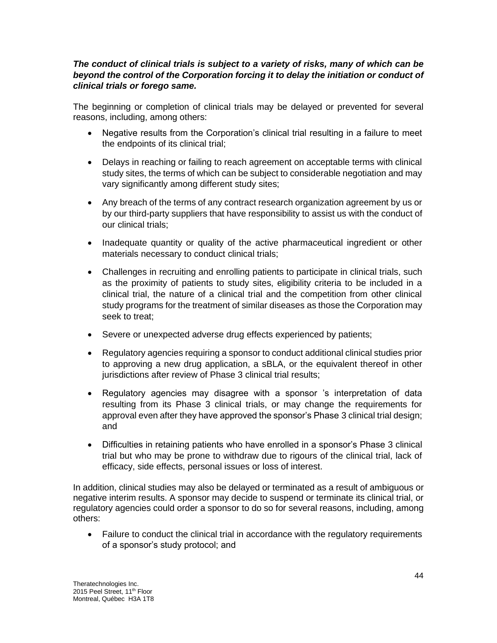# *The conduct of clinical trials is subject to a variety of risks, many of which can be beyond the control of the Corporation forcing it to delay the initiation or conduct of clinical trials or forego same.*

The beginning or completion of clinical trials may be delayed or prevented for several reasons, including, among others:

- Negative results from the Corporation's clinical trial resulting in a failure to meet the endpoints of its clinical trial;
- Delays in reaching or failing to reach agreement on acceptable terms with clinical study sites, the terms of which can be subject to considerable negotiation and may vary significantly among different study sites;
- Any breach of the terms of any contract research organization agreement by us or by our third-party suppliers that have responsibility to assist us with the conduct of our clinical trials;
- Inadequate quantity or quality of the active pharmaceutical ingredient or other materials necessary to conduct clinical trials;
- Challenges in recruiting and enrolling patients to participate in clinical trials, such as the proximity of patients to study sites, eligibility criteria to be included in a clinical trial, the nature of a clinical trial and the competition from other clinical study programs for the treatment of similar diseases as those the Corporation may seek to treat;
- Severe or unexpected adverse drug effects experienced by patients;
- Regulatory agencies requiring a sponsor to conduct additional clinical studies prior to approving a new drug application, a sBLA, or the equivalent thereof in other jurisdictions after review of Phase 3 clinical trial results;
- Regulatory agencies may disagree with a sponsor 's interpretation of data resulting from its Phase 3 clinical trials, or may change the requirements for approval even after they have approved the sponsor's Phase 3 clinical trial design; and
- Difficulties in retaining patients who have enrolled in a sponsor's Phase 3 clinical trial but who may be prone to withdraw due to rigours of the clinical trial, lack of efficacy, side effects, personal issues or loss of interest.

In addition, clinical studies may also be delayed or terminated as a result of ambiguous or negative interim results. A sponsor may decide to suspend or terminate its clinical trial, or regulatory agencies could order a sponsor to do so for several reasons, including, among others:

• Failure to conduct the clinical trial in accordance with the regulatory requirements of a sponsor's study protocol; and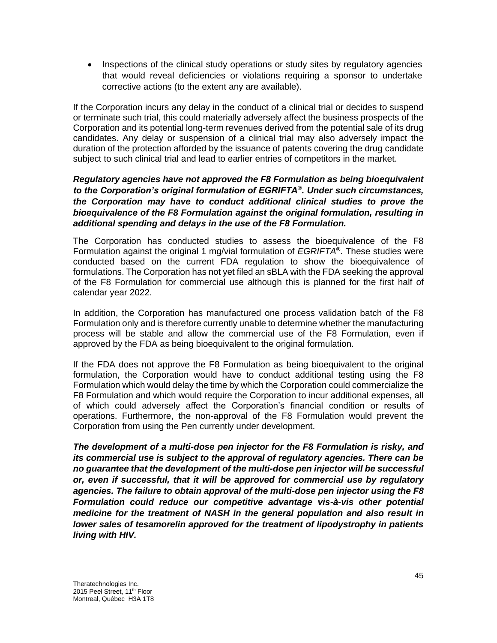• Inspections of the clinical study operations or study sites by regulatory agencies that would reveal deficiencies or violations requiring a sponsor to undertake corrective actions (to the extent any are available).

If the Corporation incurs any delay in the conduct of a clinical trial or decides to suspend or terminate such trial, this could materially adversely affect the business prospects of the Corporation and its potential long-term revenues derived from the potential sale of its drug candidates. Any delay or suspension of a clinical trial may also adversely impact the duration of the protection afforded by the issuance of patents covering the drug candidate subject to such clinical trial and lead to earlier entries of competitors in the market.

# *Regulatory agencies have not approved the F8 Formulation as being bioequivalent to the Corporation's original formulation of EGRIFTA® . Under such circumstances, the Corporation may have to conduct additional clinical studies to prove the bioequivalence of the F8 Formulation against the original formulation, resulting in additional spending and delays in the use of the F8 Formulation.*

The Corporation has conducted studies to assess the bioequivalence of the F8 Formulation against the original 1 mg/vial formulation of *EGRIFTA®* . These studies were conducted based on the current FDA regulation to show the bioequivalence of formulations. The Corporation has not yet filed an sBLA with the FDA seeking the approval of the F8 Formulation for commercial use although this is planned for the first half of calendar year 2022.

In addition, the Corporation has manufactured one process validation batch of the F8 Formulation only and is therefore currently unable to determine whether the manufacturing process will be stable and allow the commercial use of the F8 Formulation, even if approved by the FDA as being bioequivalent to the original formulation.

If the FDA does not approve the F8 Formulation as being bioequivalent to the original formulation, the Corporation would have to conduct additional testing using the F8 Formulation which would delay the time by which the Corporation could commercialize the F8 Formulation and which would require the Corporation to incur additional expenses, all of which could adversely affect the Corporation's financial condition or results of operations. Furthermore, the non-approval of the F8 Formulation would prevent the Corporation from using the Pen currently under development.

*The development of a multi-dose pen injector for the F8 Formulation is risky, and its commercial use is subject to the approval of regulatory agencies. There can be no guarantee that the development of the multi-dose pen injector will be successful or, even if successful, that it will be approved for commercial use by regulatory agencies. The failure to obtain approval of the multi-dose pen injector using the F8 Formulation could reduce our competitive advantage vis-à-vis other potential medicine for the treatment of NASH in the general population and also result in lower sales of tesamorelin approved for the treatment of lipodystrophy in patients living with HIV.*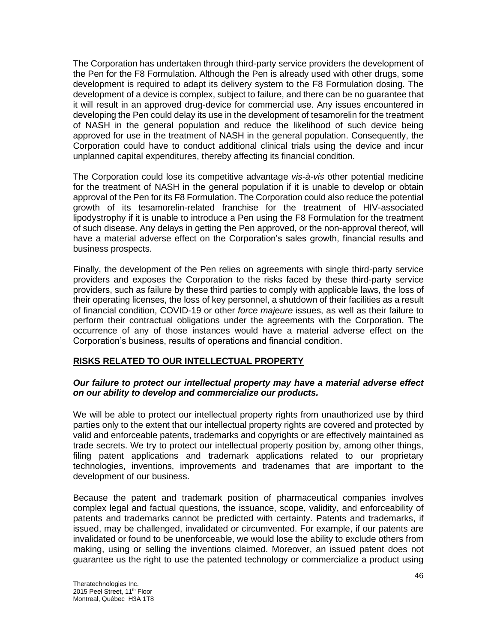The Corporation has undertaken through third-party service providers the development of the Pen for the F8 Formulation. Although the Pen is already used with other drugs, some development is required to adapt its delivery system to the F8 Formulation dosing. The development of a device is complex, subject to failure, and there can be no guarantee that it will result in an approved drug-device for commercial use. Any issues encountered in developing the Pen could delay its use in the development of tesamorelin for the treatment of NASH in the general population and reduce the likelihood of such device being approved for use in the treatment of NASH in the general population. Consequently, the Corporation could have to conduct additional clinical trials using the device and incur unplanned capital expenditures, thereby affecting its financial condition.

The Corporation could lose its competitive advantage *vis-à-vis* other potential medicine for the treatment of NASH in the general population if it is unable to develop or obtain approval of the Pen for its F8 Formulation. The Corporation could also reduce the potential growth of its tesamorelin-related franchise for the treatment of HIV-associated lipodystrophy if it is unable to introduce a Pen using the F8 Formulation for the treatment of such disease. Any delays in getting the Pen approved, or the non-approval thereof, will have a material adverse effect on the Corporation's sales growth, financial results and business prospects.

Finally, the development of the Pen relies on agreements with single third-party service providers and exposes the Corporation to the risks faced by these third-party service providers, such as failure by these third parties to comply with applicable laws, the loss of their operating licenses, the loss of key personnel, a shutdown of their facilities as a result of financial condition, COVID-19 or other *force majeure* issues, as well as their failure to perform their contractual obligations under the agreements with the Corporation. The occurrence of any of those instances would have a material adverse effect on the Corporation's business, results of operations and financial condition.

# **RISKS RELATED TO OUR INTELLECTUAL PROPERTY**

### *Our failure to protect our intellectual property may have a material adverse effect on our ability to develop and commercialize our products.*

We will be able to protect our intellectual property rights from unauthorized use by third parties only to the extent that our intellectual property rights are covered and protected by valid and enforceable patents, trademarks and copyrights or are effectively maintained as trade secrets. We try to protect our intellectual property position by, among other things, filing patent applications and trademark applications related to our proprietary technologies, inventions, improvements and tradenames that are important to the development of our business.

Because the patent and trademark position of pharmaceutical companies involves complex legal and factual questions, the issuance, scope, validity, and enforceability of patents and trademarks cannot be predicted with certainty. Patents and trademarks, if issued, may be challenged, invalidated or circumvented. For example, if our patents are invalidated or found to be unenforceable, we would lose the ability to exclude others from making, using or selling the inventions claimed. Moreover, an issued patent does not guarantee us the right to use the patented technology or commercialize a product using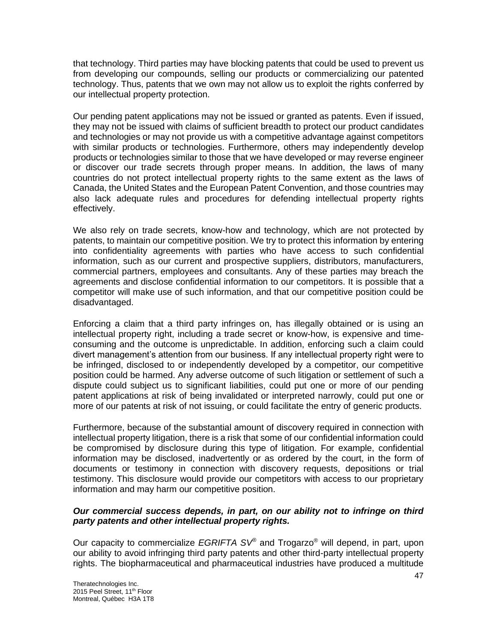that technology. Third parties may have blocking patents that could be used to prevent us from developing our compounds, selling our products or commercializing our patented technology. Thus, patents that we own may not allow us to exploit the rights conferred by our intellectual property protection.

Our pending patent applications may not be issued or granted as patents. Even if issued, they may not be issued with claims of sufficient breadth to protect our product candidates and technologies or may not provide us with a competitive advantage against competitors with similar products or technologies. Furthermore, others may independently develop products or technologies similar to those that we have developed or may reverse engineer or discover our trade secrets through proper means. In addition, the laws of many countries do not protect intellectual property rights to the same extent as the laws of Canada, the United States and the European Patent Convention, and those countries may also lack adequate rules and procedures for defending intellectual property rights effectively.

We also rely on trade secrets, know-how and technology, which are not protected by patents, to maintain our competitive position. We try to protect this information by entering into confidentiality agreements with parties who have access to such confidential information, such as our current and prospective suppliers, distributors, manufacturers, commercial partners, employees and consultants. Any of these parties may breach the agreements and disclose confidential information to our competitors. It is possible that a competitor will make use of such information, and that our competitive position could be disadvantaged.

Enforcing a claim that a third party infringes on, has illegally obtained or is using an intellectual property right, including a trade secret or know-how, is expensive and timeconsuming and the outcome is unpredictable. In addition, enforcing such a claim could divert management's attention from our business. If any intellectual property right were to be infringed, disclosed to or independently developed by a competitor, our competitive position could be harmed. Any adverse outcome of such litigation or settlement of such a dispute could subject us to significant liabilities, could put one or more of our pending patent applications at risk of being invalidated or interpreted narrowly, could put one or more of our patents at risk of not issuing, or could facilitate the entry of generic products.

Furthermore, because of the substantial amount of discovery required in connection with intellectual property litigation, there is a risk that some of our confidential information could be compromised by disclosure during this type of litigation. For example, confidential information may be disclosed, inadvertently or as ordered by the court, in the form of documents or testimony in connection with discovery requests, depositions or trial testimony. This disclosure would provide our competitors with access to our proprietary information and may harm our competitive position.

# *Our commercial success depends, in part, on our ability not to infringe on third party patents and other intellectual property rights.*

Our capacity to commercialize *EGRIFTA SV®* and Trogarzo® will depend, in part, upon our ability to avoid infringing third party patents and other third-party intellectual property rights. The biopharmaceutical and pharmaceutical industries have produced a multitude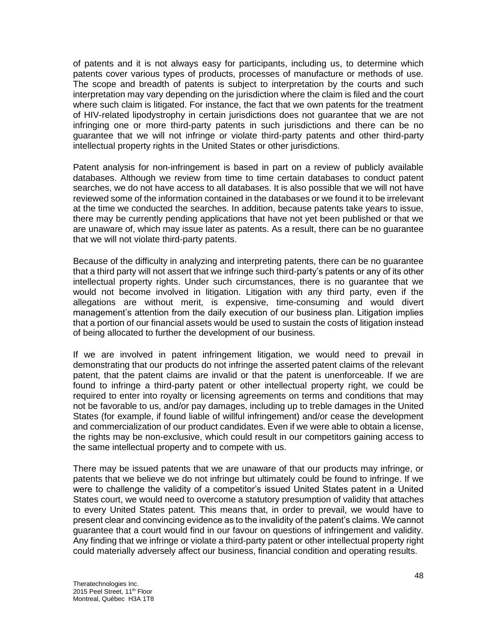of patents and it is not always easy for participants, including us, to determine which patents cover various types of products, processes of manufacture or methods of use. The scope and breadth of patents is subject to interpretation by the courts and such interpretation may vary depending on the jurisdiction where the claim is filed and the court where such claim is litigated. For instance, the fact that we own patents for the treatment of HIV-related lipodystrophy in certain jurisdictions does not guarantee that we are not infringing one or more third-party patents in such jurisdictions and there can be no guarantee that we will not infringe or violate third-party patents and other third-party intellectual property rights in the United States or other jurisdictions.

Patent analysis for non-infringement is based in part on a review of publicly available databases. Although we review from time to time certain databases to conduct patent searches, we do not have access to all databases. It is also possible that we will not have reviewed some of the information contained in the databases or we found it to be irrelevant at the time we conducted the searches. In addition, because patents take years to issue, there may be currently pending applications that have not yet been published or that we are unaware of, which may issue later as patents. As a result, there can be no guarantee that we will not violate third-party patents.

Because of the difficulty in analyzing and interpreting patents, there can be no guarantee that a third party will not assert that we infringe such third-party's patents or any of its other intellectual property rights. Under such circumstances, there is no guarantee that we would not become involved in litigation. Litigation with any third party, even if the allegations are without merit, is expensive, time-consuming and would divert management's attention from the daily execution of our business plan. Litigation implies that a portion of our financial assets would be used to sustain the costs of litigation instead of being allocated to further the development of our business.

If we are involved in patent infringement litigation, we would need to prevail in demonstrating that our products do not infringe the asserted patent claims of the relevant patent, that the patent claims are invalid or that the patent is unenforceable. If we are found to infringe a third-party patent or other intellectual property right, we could be required to enter into royalty or licensing agreements on terms and conditions that may not be favorable to us, and/or pay damages, including up to treble damages in the United States (for example, if found liable of willful infringement) and/or cease the development and commercialization of our product candidates. Even if we were able to obtain a license, the rights may be non-exclusive, which could result in our competitors gaining access to the same intellectual property and to compete with us.

There may be issued patents that we are unaware of that our products may infringe, or patents that we believe we do not infringe but ultimately could be found to infringe. If we were to challenge the validity of a competitor's issued United States patent in a United States court, we would need to overcome a statutory presumption of validity that attaches to every United States patent. This means that, in order to prevail, we would have to present clear and convincing evidence as to the invalidity of the patent's claims. We cannot guarantee that a court would find in our favour on questions of infringement and validity. Any finding that we infringe or violate a third-party patent or other intellectual property right could materially adversely affect our business, financial condition and operating results.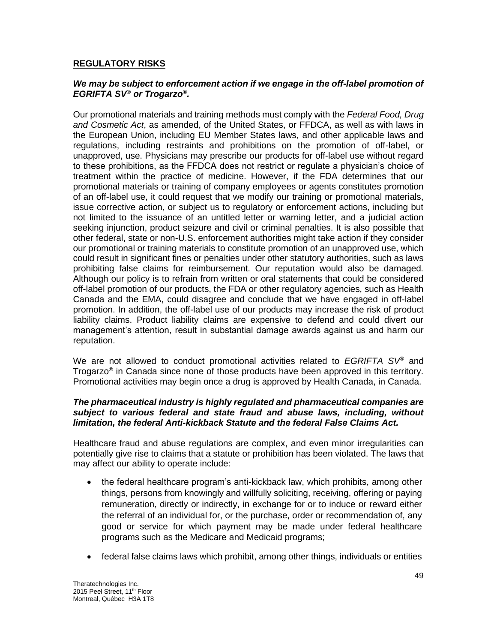# **REGULATORY RISKS**

### We may be subject to enforcement action if we engage in the off-label promotion of *EGRIFTA SV® or Trogarzo® .*

Our promotional materials and training methods must comply with the *Federal Food, Drug and Cosmetic Act*, as amended, of the United States, or FFDCA, as well as with laws in the European Union, including EU Member States laws, and other applicable laws and regulations, including restraints and prohibitions on the promotion of off-label, or unapproved, use. Physicians may prescribe our products for off-label use without regard to these prohibitions, as the FFDCA does not restrict or regulate a physician's choice of treatment within the practice of medicine. However, if the FDA determines that our promotional materials or training of company employees or agents constitutes promotion of an off-label use, it could request that we modify our training or promotional materials, issue corrective action, or subject us to regulatory or enforcement actions, including but not limited to the issuance of an untitled letter or warning letter, and a judicial action seeking injunction, product seizure and civil or criminal penalties. It is also possible that other federal, state or non-U.S. enforcement authorities might take action if they consider our promotional or training materials to constitute promotion of an unapproved use, which could result in significant fines or penalties under other statutory authorities, such as laws prohibiting false claims for reimbursement. Our reputation would also be damaged. Although our policy is to refrain from written or oral statements that could be considered off-label promotion of our products, the FDA or other regulatory agencies, such as Health Canada and the EMA, could disagree and conclude that we have engaged in off-label promotion. In addition, the off-label use of our products may increase the risk of product liability claims. Product liability claims are expensive to defend and could divert our management's attention, result in substantial damage awards against us and harm our reputation.

We are not allowed to conduct promotional activities related to *EGRIFTA SV*® and Trogarzo<sup>®</sup> in Canada since none of those products have been approved in this territory. Promotional activities may begin once a drug is approved by Health Canada, in Canada.

### *The pharmaceutical industry is highly regulated and pharmaceutical companies are subject to various federal and state fraud and abuse laws, including, without limitation, the federal Anti-kickback Statute and the federal False Claims Act.*

Healthcare fraud and abuse regulations are complex, and even minor irregularities can potentially give rise to claims that a statute or prohibition has been violated. The laws that may affect our ability to operate include:

- the federal healthcare program's anti-kickback law, which prohibits, among other things, persons from knowingly and willfully soliciting, receiving, offering or paying remuneration, directly or indirectly, in exchange for or to induce or reward either the referral of an individual for, or the purchase, order or recommendation of, any good or service for which payment may be made under federal healthcare programs such as the Medicare and Medicaid programs;
- federal false claims laws which prohibit, among other things, individuals or entities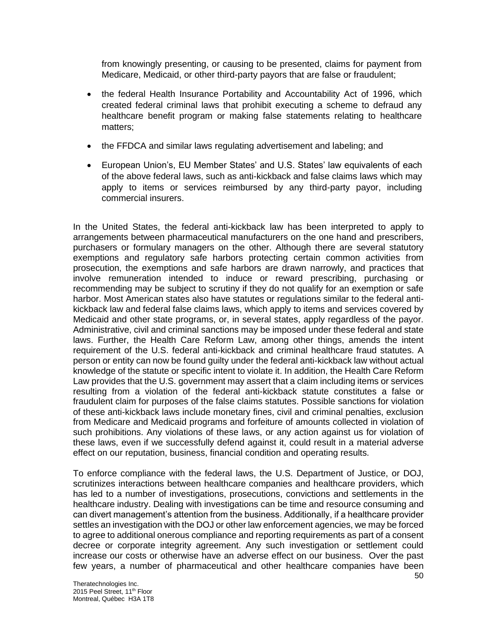from knowingly presenting, or causing to be presented, claims for payment from Medicare, Medicaid, or other third-party payors that are false or fraudulent;

- the federal Health Insurance Portability and Accountability Act of 1996, which created federal criminal laws that prohibit executing a scheme to defraud any healthcare benefit program or making false statements relating to healthcare matters;
- the FFDCA and similar laws regulating advertisement and labeling; and
- European Union's, EU Member States' and U.S. States' law equivalents of each of the above federal laws, such as anti-kickback and false claims laws which may apply to items or services reimbursed by any third-party payor, including commercial insurers.

In the United States, the federal anti-kickback law has been interpreted to apply to arrangements between pharmaceutical manufacturers on the one hand and prescribers, purchasers or formulary managers on the other. Although there are several statutory exemptions and regulatory safe harbors protecting certain common activities from prosecution, the exemptions and safe harbors are drawn narrowly, and practices that involve remuneration intended to induce or reward prescribing, purchasing or recommending may be subject to scrutiny if they do not qualify for an exemption or safe harbor. Most American states also have statutes or regulations similar to the federal antikickback law and federal false claims laws, which apply to items and services covered by Medicaid and other state programs, or, in several states, apply regardless of the payor. Administrative, civil and criminal sanctions may be imposed under these federal and state laws. Further, the Health Care Reform Law, among other things, amends the intent requirement of the U.S. federal anti-kickback and criminal healthcare fraud statutes. A person or entity can now be found guilty under the federal anti-kickback law without actual knowledge of the statute or specific intent to violate it. In addition, the Health Care Reform Law provides that the U.S. government may assert that a claim including items or services resulting from a violation of the federal anti-kickback statute constitutes a false or fraudulent claim for purposes of the false claims statutes. Possible sanctions for violation of these anti-kickback laws include monetary fines, civil and criminal penalties, exclusion from Medicare and Medicaid programs and forfeiture of amounts collected in violation of such prohibitions. Any violations of these laws, or any action against us for violation of these laws, even if we successfully defend against it, could result in a material adverse effect on our reputation, business, financial condition and operating results.

To enforce compliance with the federal laws, the U.S. Department of Justice, or DOJ, scrutinizes interactions between healthcare companies and healthcare providers, which has led to a number of investigations, prosecutions, convictions and settlements in the healthcare industry. Dealing with investigations can be time and resource consuming and can divert management's attention from the business. Additionally, if a healthcare provider settles an investigation with the DOJ or other law enforcement agencies, we may be forced to agree to additional onerous compliance and reporting requirements as part of a consent decree or corporate integrity agreement. Any such investigation or settlement could increase our costs or otherwise have an adverse effect on our business. Over the past few years, a number of pharmaceutical and other healthcare companies have been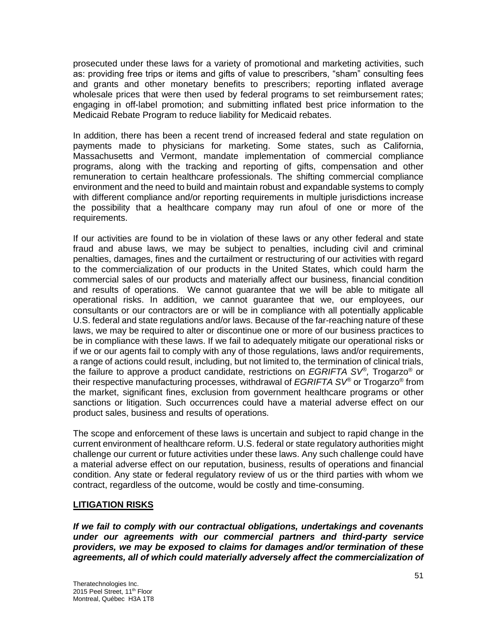prosecuted under these laws for a variety of promotional and marketing activities, such as: providing free trips or items and gifts of value to prescribers, "sham" consulting fees and grants and other monetary benefits to prescribers; reporting inflated average wholesale prices that were then used by federal programs to set reimbursement rates; engaging in off-label promotion; and submitting inflated best price information to the Medicaid Rebate Program to reduce liability for Medicaid rebates.

In addition, there has been a recent trend of increased federal and state regulation on payments made to physicians for marketing. Some states, such as California, Massachusetts and Vermont, mandate implementation of commercial compliance programs, along with the tracking and reporting of gifts, compensation and other remuneration to certain healthcare professionals. The shifting commercial compliance environment and the need to build and maintain robust and expandable systems to comply with different compliance and/or reporting requirements in multiple jurisdictions increase the possibility that a healthcare company may run afoul of one or more of the requirements.

If our activities are found to be in violation of these laws or any other federal and state fraud and abuse laws, we may be subject to penalties, including civil and criminal penalties, damages, fines and the curtailment or restructuring of our activities with regard to the commercialization of our products in the United States, which could harm the commercial sales of our products and materially affect our business, financial condition and results of operations. We cannot guarantee that we will be able to mitigate all operational risks. In addition, we cannot guarantee that we, our employees, our consultants or our contractors are or will be in compliance with all potentially applicable U.S. federal and state regulations and/or laws. Because of the far-reaching nature of these laws, we may be required to alter or discontinue one or more of our business practices to be in compliance with these laws. If we fail to adequately mitigate our operational risks or if we or our agents fail to comply with any of those regulations, laws and/or requirements, a range of actions could result, including, but not limited to, the termination of clinical trials, the failure to approve a product candidate, restrictions on *EGRIFTA SV® ,* Trogarzo® or their respective manufacturing processes, withdrawal of *EGRIFTA SV®* or Trogarzo® from the market, significant fines, exclusion from government healthcare programs or other sanctions or litigation. Such occurrences could have a material adverse effect on our product sales, business and results of operations.

The scope and enforcement of these laws is uncertain and subject to rapid change in the current environment of healthcare reform. U.S. federal or state regulatory authorities might challenge our current or future activities under these laws. Any such challenge could have a material adverse effect on our reputation, business, results of operations and financial condition. Any state or federal regulatory review of us or the third parties with whom we contract, regardless of the outcome, would be costly and time-consuming.

# **LITIGATION RISKS**

*If we fail to comply with our contractual obligations, undertakings and covenants under our agreements with our commercial partners and third-party service providers, we may be exposed to claims for damages and/or termination of these*  agreements, all of which could materially adversely affect the commercialization of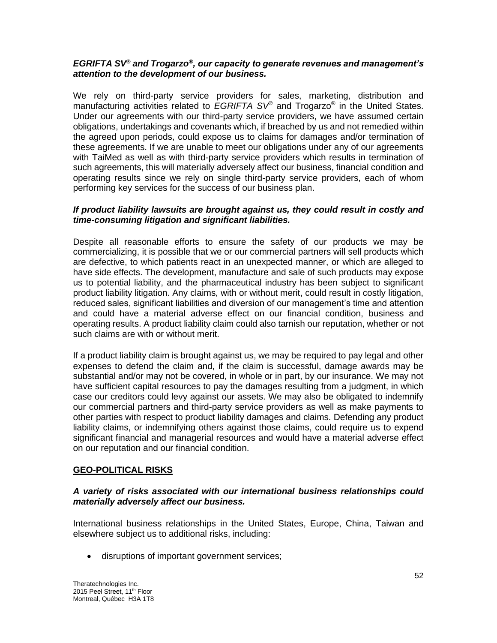# EGRIFTA SV<sup>®</sup> and Trogarzo<sup>®</sup>, our capacity to generate revenues and management's *attention to the development of our business.*

We rely on third-party service providers for sales, marketing, distribution and manufacturing activities related to *EGRIFTA SV®* and Trogarzo*®* in the United States. Under our agreements with our third-party service providers, we have assumed certain obligations, undertakings and covenants which, if breached by us and not remedied within the agreed upon periods, could expose us to claims for damages and/or termination of these agreements. If we are unable to meet our obligations under any of our agreements with TaiMed as well as with third-party service providers which results in termination of such agreements, this will materially adversely affect our business, financial condition and operating results since we rely on single third-party service providers, each of whom performing key services for the success of our business plan.

### *If product liability lawsuits are brought against us, they could result in costly and time-consuming litigation and significant liabilities.*

Despite all reasonable efforts to ensure the safety of our products we may be commercializing, it is possible that we or our commercial partners will sell products which are defective, to which patients react in an unexpected manner, or which are alleged to have side effects. The development, manufacture and sale of such products may expose us to potential liability, and the pharmaceutical industry has been subject to significant product liability litigation. Any claims, with or without merit, could result in costly litigation, reduced sales, significant liabilities and diversion of our management's time and attention and could have a material adverse effect on our financial condition, business and operating results. A product liability claim could also tarnish our reputation, whether or not such claims are with or without merit.

If a product liability claim is brought against us, we may be required to pay legal and other expenses to defend the claim and, if the claim is successful, damage awards may be substantial and/or may not be covered, in whole or in part, by our insurance. We may not have sufficient capital resources to pay the damages resulting from a judgment, in which case our creditors could levy against our assets. We may also be obligated to indemnify our commercial partners and third-party service providers as well as make payments to other parties with respect to product liability damages and claims. Defending any product liability claims, or indemnifying others against those claims, could require us to expend significant financial and managerial resources and would have a material adverse effect on our reputation and our financial condition.

# **GEO-POLITICAL RISKS**

# *A variety of risks associated with our international business relationships could materially adversely affect our business.*

International business relationships in the United States, Europe, China, Taiwan and elsewhere subject us to additional risks, including:

• disruptions of important government services;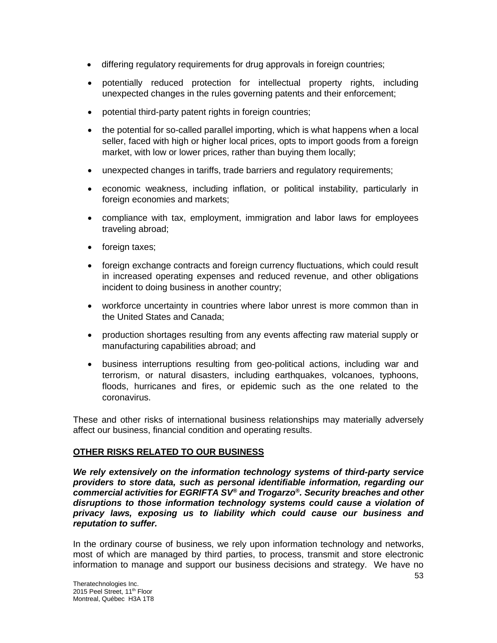- differing regulatory requirements for drug approvals in foreign countries;
- potentially reduced protection for intellectual property rights, including unexpected changes in the rules governing patents and their enforcement;
- potential third-party patent rights in foreign countries;
- the potential for so-called parallel importing, which is what happens when a local seller, faced with high or higher local prices, opts to import goods from a foreign market, with low or lower prices, rather than buying them locally;
- unexpected changes in tariffs, trade barriers and regulatory requirements;
- economic weakness, including inflation, or political instability, particularly in foreign economies and markets;
- compliance with tax, employment, immigration and labor laws for employees traveling abroad;
- foreign taxes;
- foreign exchange contracts and foreign currency fluctuations, which could result in increased operating expenses and reduced revenue, and other obligations incident to doing business in another country;
- workforce uncertainty in countries where labor unrest is more common than in the United States and Canada;
- production shortages resulting from any events affecting raw material supply or manufacturing capabilities abroad; and
- business interruptions resulting from geo-political actions, including war and terrorism, or natural disasters, including earthquakes, volcanoes, typhoons, floods, hurricanes and fires, or epidemic such as the one related to the coronavirus.

These and other risks of international business relationships may materially adversely affect our business, financial condition and operating results.

# **OTHER RISKS RELATED TO OUR BUSINESS**

*We rely extensively on the information technology systems of third-party service providers to store data, such as personal identifiable information, regarding our commercial activities for EGRIFTA SV® and Trogarzo® . Security breaches and other disruptions to those information technology systems could cause a violation of privacy laws, exposing us to liability which could cause our business and reputation to suffer.*

In the ordinary course of business, we rely upon information technology and networks, most of which are managed by third parties, to process, transmit and store electronic information to manage and support our business decisions and strategy. We have no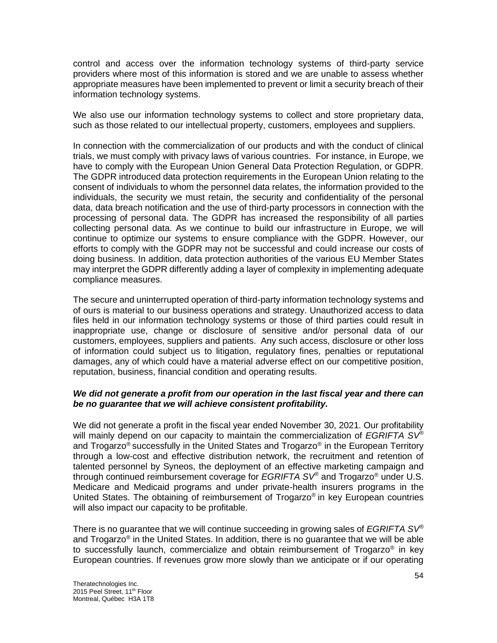control and access over the information technology systems of third-party service providers where most of this information is stored and we are unable to assess whether appropriate measures have been implemented to prevent or limit a security breach of their information technology systems.

We also use our information technology systems to collect and store proprietary data, such as those related to our intellectual property, customers, employees and suppliers.

In connection with the commercialization of our products and with the conduct of clinical trials, we must comply with privacy laws of various countries. For instance, in Europe, we have to comply with the European Union General Data Protection Regulation, or GDPR. The GDPR introduced data protection requirements in the European Union relating to the consent of individuals to whom the personnel data relates, the information provided to the individuals, the security we must retain, the security and confidentiality of the personal data, data breach notification and the use of third-party processors in connection with the processing of personal data. The GDPR has increased the responsibility of all parties collecting personal data. As we continue to build our infrastructure in Europe, we will continue to optimize our systems to ensure compliance with the GDPR. However, our efforts to comply with the GDPR may not be successful and could increase our costs of doing business. In addition, data protection authorities of the various EU Member States may interpret the GDPR differently adding a layer of complexity in implementing adequate compliance measures.

The secure and uninterrupted operation of third-party information technology systems and of ours is material to our business operations and strategy. Unauthorized access to data files held in our information technology systems or those of third parties could result in inappropriate use, change or disclosure of sensitive and/or personal data of our customers, employees, suppliers and patients. Any such access, disclosure or other loss of information could subject us to litigation, regulatory fines, penalties or reputational damages, any of which could have a material adverse effect on our competitive position, reputation, business, financial condition and operating results.

# *We did not generate a profit from our operation in the last fiscal year and there can be no guarantee that we will achieve consistent profitability.*

We did not generate a profit in the fiscal year ended November 30, 2021. Our profitability will mainly depend on our capacity to maintain the commercialization of *EGRIFTA SV®* and Trogarzo® successfully in the United States and Trogarzo® in the European Territory through a low-cost and effective distribution network, the recruitment and retention of talented personnel by Syneos, the deployment of an effective marketing campaign and through continued reimbursement coverage for *EGRIFTA SV®* and Trogarzo® under U.S. Medicare and Medicaid programs and under private-health insurers programs in the United States. The obtaining of reimbursement of Trogarzo<sup>®</sup> in key European countries will also impact our capacity to be profitable.

There is no guarantee that we will continue succeeding in growing sales of *EGRIFTA SV®* and Trogarzo® in the United States. In addition, there is no guarantee that we will be able to successfully launch, commercialize and obtain reimbursement of Trogarzo<sup>®</sup> in key European countries. If revenues grow more slowly than we anticipate or if our operating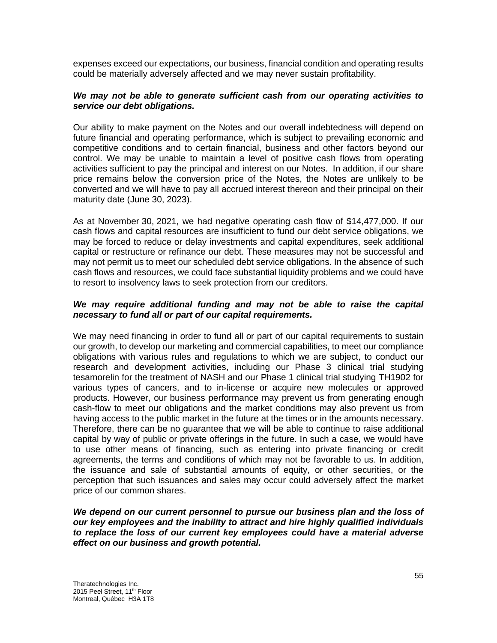expenses exceed our expectations, our business, financial condition and operating results could be materially adversely affected and we may never sustain profitability.

### *We may not be able to generate sufficient cash from our operating activities to service our debt obligations.*

Our ability to make payment on the Notes and our overall indebtedness will depend on future financial and operating performance, which is subject to prevailing economic and competitive conditions and to certain financial, business and other factors beyond our control. We may be unable to maintain a level of positive cash flows from operating activities sufficient to pay the principal and interest on our Notes. In addition, if our share price remains below the conversion price of the Notes, the Notes are unlikely to be converted and we will have to pay all accrued interest thereon and their principal on their maturity date (June 30, 2023).

As at November 30, 2021, we had negative operating cash flow of \$14,477,000. If our cash flows and capital resources are insufficient to fund our debt service obligations, we may be forced to reduce or delay investments and capital expenditures, seek additional capital or restructure or refinance our debt. These measures may not be successful and may not permit us to meet our scheduled debt service obligations. In the absence of such cash flows and resources, we could face substantial liquidity problems and we could have to resort to insolvency laws to seek protection from our creditors.

### *We may require additional funding and may not be able to raise the capital necessary to fund all or part of our capital requirements.*

We may need financing in order to fund all or part of our capital requirements to sustain our growth, to develop our marketing and commercial capabilities, to meet our compliance obligations with various rules and regulations to which we are subject, to conduct our research and development activities, including our Phase 3 clinical trial studying tesamorelin for the treatment of NASH and our Phase 1 clinical trial studying TH1902 for various types of cancers, and to in-license or acquire new molecules or approved products. However, our business performance may prevent us from generating enough cash-flow to meet our obligations and the market conditions may also prevent us from having access to the public market in the future at the times or in the amounts necessary. Therefore, there can be no guarantee that we will be able to continue to raise additional capital by way of public or private offerings in the future. In such a case, we would have to use other means of financing, such as entering into private financing or credit agreements, the terms and conditions of which may not be favorable to us. In addition, the issuance and sale of substantial amounts of equity, or other securities, or the perception that such issuances and sales may occur could adversely affect the market price of our common shares.

*We depend on our current personnel to pursue our business plan and the loss of our key employees and the inability to attract and hire highly qualified individuals to replace the loss of our current key employees could have a material adverse effect on our business and growth potential.*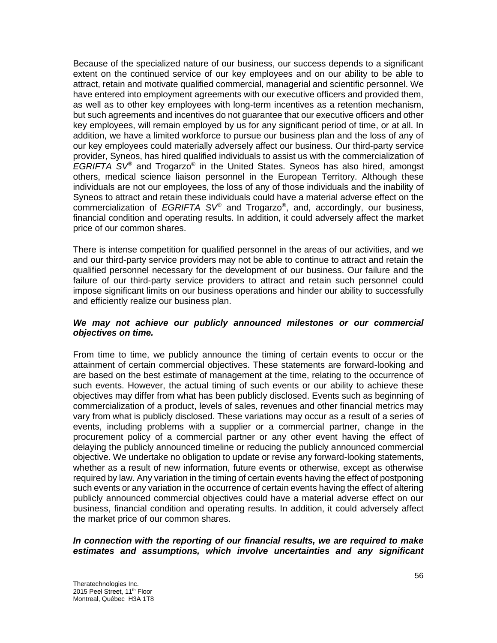Because of the specialized nature of our business, our success depends to a significant extent on the continued service of our key employees and on our ability to be able to attract, retain and motivate qualified commercial, managerial and scientific personnel. We have entered into employment agreements with our executive officers and provided them, as well as to other key employees with long-term incentives as a retention mechanism, but such agreements and incentives do not guarantee that our executive officers and other key employees, will remain employed by us for any significant period of time, or at all. In addition, we have a limited workforce to pursue our business plan and the loss of any of our key employees could materially adversely affect our business. Our third-party service provider, Syneos, has hired qualified individuals to assist us with the commercialization of *EGRIFTA SV®* and Trogarzo® in the United States. Syneos has also hired, amongst others, medical science liaison personnel in the European Territory. Although these individuals are not our employees, the loss of any of those individuals and the inability of Syneos to attract and retain these individuals could have a material adverse effect on the commercialization of *EGRIFTA SV®* and Trogarzo® , and, accordingly, our business, financial condition and operating results. In addition, it could adversely affect the market price of our common shares.

There is intense competition for qualified personnel in the areas of our activities, and we and our third-party service providers may not be able to continue to attract and retain the qualified personnel necessary for the development of our business. Our failure and the failure of our third-party service providers to attract and retain such personnel could impose significant limits on our business operations and hinder our ability to successfully and efficiently realize our business plan.

### *We may not achieve our publicly announced milestones or our commercial objectives on time.*

From time to time, we publicly announce the timing of certain events to occur or the attainment of certain commercial objectives. These statements are forward-looking and are based on the best estimate of management at the time, relating to the occurrence of such events. However, the actual timing of such events or our ability to achieve these objectives may differ from what has been publicly disclosed. Events such as beginning of commercialization of a product, levels of sales, revenues and other financial metrics may vary from what is publicly disclosed. These variations may occur as a result of a series of events, including problems with a supplier or a commercial partner, change in the procurement policy of a commercial partner or any other event having the effect of delaying the publicly announced timeline or reducing the publicly announced commercial objective. We undertake no obligation to update or revise any forward-looking statements, whether as a result of new information, future events or otherwise, except as otherwise required by law. Any variation in the timing of certain events having the effect of postponing such events or any variation in the occurrence of certain events having the effect of altering publicly announced commercial objectives could have a material adverse effect on our business, financial condition and operating results. In addition, it could adversely affect the market price of our common shares.

### *In connection with the reporting of our financial results, we are required to make estimates and assumptions, which involve uncertainties and any significant*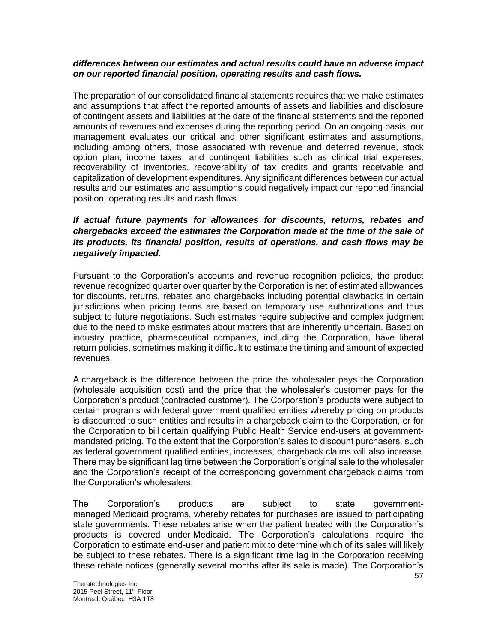### *differences between our estimates and actual results could have an adverse impact on our reported financial position, operating results and cash flows.*

The preparation of our consolidated financial statements requires that we make estimates and assumptions that affect the reported amounts of assets and liabilities and disclosure of contingent assets and liabilities at the date of the financial statements and the reported amounts of revenues and expenses during the reporting period. On an ongoing basis, our management evaluates our critical and other significant estimates and assumptions, including among others, those associated with revenue and deferred revenue, stock option plan, income taxes, and contingent liabilities such as clinical trial expenses, recoverability of inventories, recoverability of tax credits and grants receivable and capitalization of development expenditures. Any significant differences between our actual results and our estimates and assumptions could negatively impact our reported financial position, operating results and cash flows.

# *If actual future payments for allowances for discounts, returns, rebates and chargebacks exceed the estimates the Corporation made at the time of the sale of its products, its financial position, results of operations, and cash flows may be negatively impacted.*

Pursuant to the Corporation's accounts and revenue recognition policies, the product revenue recognized quarter over quarter by the Corporation is net of estimated allowances for discounts, returns, rebates and chargebacks including potential clawbacks in certain jurisdictions when pricing terms are based on temporary use authorizations and thus subject to future negotiations. Such estimates require subjective and complex judgment due to the need to make estimates about matters that are inherently uncertain. Based on industry practice, pharmaceutical companies, including the Corporation, have liberal return policies, sometimes making it difficult to estimate the timing and amount of expected revenues.

A chargeback is the difference between the price the wholesaler pays the Corporation (wholesale acquisition cost) and the price that the wholesaler's customer pays for the Corporation's product (contracted customer). The Corporation's products were subject to certain programs with federal government qualified entities whereby pricing on products is discounted to such entities and results in a chargeback claim to the Corporation, or for the Corporation to bill certain qualifying Public Health Service end-users at governmentmandated pricing. To the extent that the Corporation's sales to discount purchasers, such as federal government qualified entities, increases, chargeback claims will also increase. There may be significant lag time between the Corporation's original sale to the wholesaler and the Corporation's receipt of the corresponding government chargeback claims from the Corporation's wholesalers.

The Corporation's products are subject to state governmentmanaged Medicaid programs, whereby rebates for purchases are issued to participating state governments. These rebates arise when the patient treated with the Corporation's products is covered under Medicaid. The Corporation's calculations require the Corporation to estimate end-user and patient mix to determine which of its sales will likely be subject to these rebates. There is a significant time lag in the Corporation receiving these rebate notices (generally several months after its sale is made). The Corporation's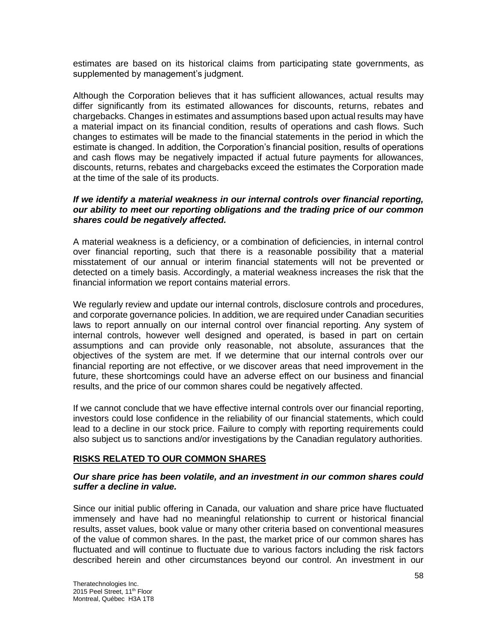estimates are based on its historical claims from participating state governments, as supplemented by management's judgment.

Although the Corporation believes that it has sufficient allowances, actual results may differ significantly from its estimated allowances for discounts, returns, rebates and chargebacks. Changes in estimates and assumptions based upon actual results may have a material impact on its financial condition, results of operations and cash flows. Such changes to estimates will be made to the financial statements in the period in which the estimate is changed. In addition, the Corporation's financial position, results of operations and cash flows may be negatively impacted if actual future payments for allowances, discounts, returns, rebates and chargebacks exceed the estimates the Corporation made at the time of the sale of its products.

### *If we identify a material weakness in our internal controls over financial reporting, our ability to meet our reporting obligations and the trading price of our common shares could be negatively affected.*

A material weakness is a deficiency, or a combination of deficiencies, in internal control over financial reporting, such that there is a reasonable possibility that a material misstatement of our annual or interim financial statements will not be prevented or detected on a timely basis. Accordingly, a material weakness increases the risk that the financial information we report contains material errors.

We regularly review and update our internal controls, disclosure controls and procedures, and corporate governance policies. In addition, we are required under Canadian securities laws to report annually on our internal control over financial reporting. Any system of internal controls, however well designed and operated, is based in part on certain assumptions and can provide only reasonable, not absolute, assurances that the objectives of the system are met. If we determine that our internal controls over our financial reporting are not effective, or we discover areas that need improvement in the future, these shortcomings could have an adverse effect on our business and financial results, and the price of our common shares could be negatively affected.

If we cannot conclude that we have effective internal controls over our financial reporting, investors could lose confidence in the reliability of our financial statements, which could lead to a decline in our stock price. Failure to comply with reporting requirements could also subject us to sanctions and/or investigations by the Canadian regulatory authorities.

# **RISKS RELATED TO OUR COMMON SHARES**

### *Our share price has been volatile, and an investment in our common shares could suffer a decline in value.*

Since our initial public offering in Canada, our valuation and share price have fluctuated immensely and have had no meaningful relationship to current or historical financial results, asset values, book value or many other criteria based on conventional measures of the value of common shares. In the past, the market price of our common shares has fluctuated and will continue to fluctuate due to various factors including the risk factors described herein and other circumstances beyond our control. An investment in our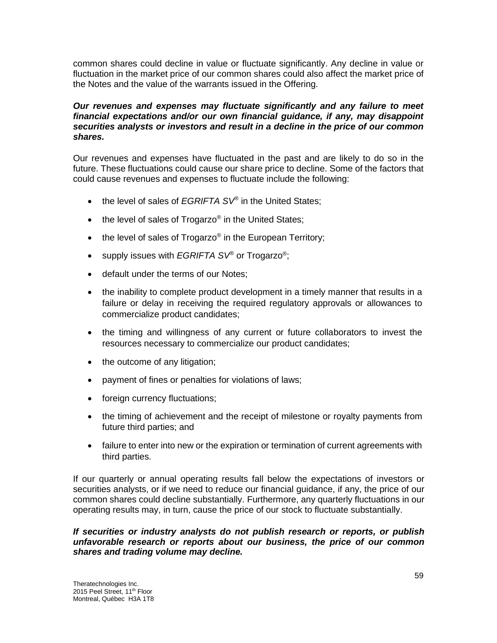common shares could decline in value or fluctuate significantly. Any decline in value or fluctuation in the market price of our common shares could also affect the market price of the Notes and the value of the warrants issued in the Offering.

### *Our revenues and expenses may fluctuate significantly and any failure to meet financial expectations and/or our own financial guidance, if any, may disappoint securities analysts or investors and result in a decline in the price of our common shares.*

Our revenues and expenses have fluctuated in the past and are likely to do so in the future. These fluctuations could cause our share price to decline. Some of the factors that could cause revenues and expenses to fluctuate include the following:

- the level of sales of *EGRIFTA SV®* in the United States;
- the level of sales of Trogarzo® in the United States;
- $\bullet$  the level of sales of Trogarzo® in the European Territory;
- supply issues with *EGRIFTA SV®* or Trogarzo® ;
- default under the terms of our Notes;
- the inability to complete product development in a timely manner that results in a failure or delay in receiving the required regulatory approvals or allowances to commercialize product candidates;
- the timing and willingness of any current or future collaborators to invest the resources necessary to commercialize our product candidates;
- the outcome of any litigation;
- payment of fines or penalties for violations of laws;
- foreign currency fluctuations;
- the timing of achievement and the receipt of milestone or royalty payments from future third parties; and
- failure to enter into new or the expiration or termination of current agreements with third parties.

If our quarterly or annual operating results fall below the expectations of investors or securities analysts, or if we need to reduce our financial guidance, if any, the price of our common shares could decline substantially. Furthermore, any quarterly fluctuations in our operating results may, in turn, cause the price of our stock to fluctuate substantially.

*If securities or industry analysts do not publish research or reports, or publish unfavorable research or reports about our business, the price of our common shares and trading volume may decline.*